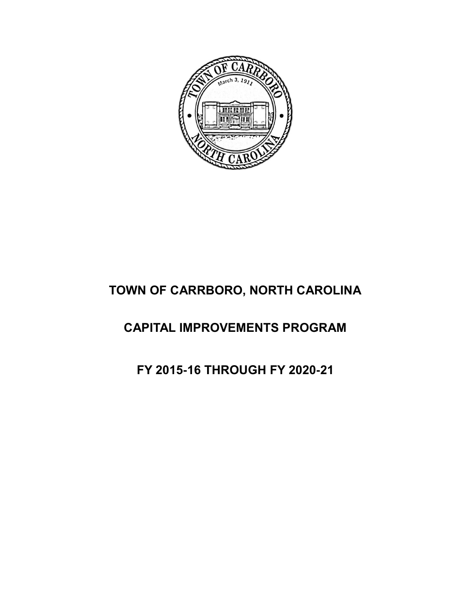

# **TOWN OF CARRBORO, NORTH CAROLINA**

# **CAPITAL IMPROVEMENTS PROGRAM**

**FY 2015-16 THROUGH FY 2020-21**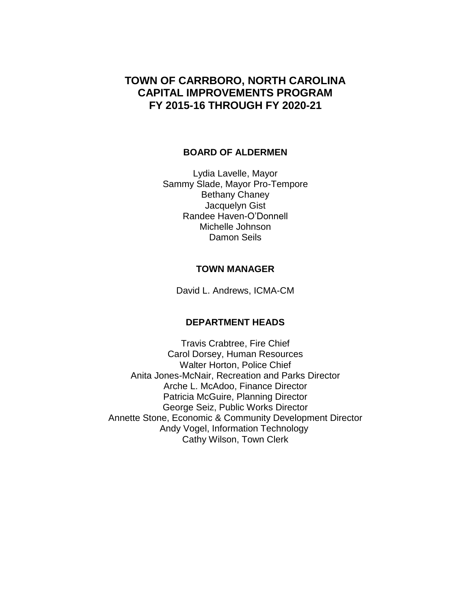### **TOWN OF CARRBORO, NORTH CAROLINA CAPITAL IMPROVEMENTS PROGRAM FY 2015-16 THROUGH FY 2020-21**

#### **BOARD OF ALDERMEN**

Lydia Lavelle, Mayor Sammy Slade, Mayor Pro-Tempore Bethany Chaney Jacquelyn Gist Randee Haven-O'Donnell Michelle Johnson Damon Seils

#### **TOWN MANAGER**

David L. Andrews, ICMA-CM

#### **DEPARTMENT HEADS**

Travis Crabtree, Fire Chief Carol Dorsey, Human Resources Walter Horton, Police Chief Anita Jones-McNair, Recreation and Parks Director Arche L. McAdoo, Finance Director Patricia McGuire, Planning Director George Seiz, Public Works Director Annette Stone, Economic & Community Development Director Andy Vogel, Information Technology Cathy Wilson, Town Clerk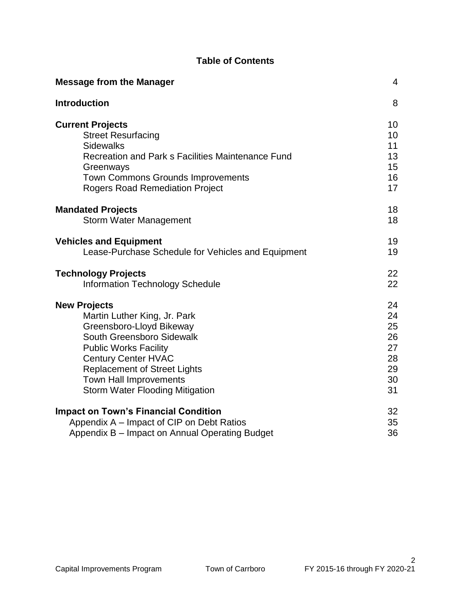| <b>Table of Contents</b>                           |                |
|----------------------------------------------------|----------------|
| <b>Message from the Manager</b>                    | $\overline{4}$ |
| <b>Introduction</b>                                | 8              |
| <b>Current Projects</b>                            | 10             |
| <b>Street Resurfacing</b>                          | 10             |
| <b>Sidewalks</b>                                   | 11             |
| Recreation and Park s Facilities Maintenance Fund  | 13             |
| Greenways                                          | 15             |
| <b>Town Commons Grounds Improvements</b>           | 16             |
| <b>Rogers Road Remediation Project</b>             | 17             |
| <b>Mandated Projects</b>                           | 18             |
| <b>Storm Water Management</b>                      | 18             |
| <b>Vehicles and Equipment</b>                      | 19             |
| Lease-Purchase Schedule for Vehicles and Equipment | 19             |
| <b>Technology Projects</b>                         | 22             |
| <b>Information Technology Schedule</b>             | 22             |
| <b>New Projects</b>                                | 24             |
| Martin Luther King, Jr. Park                       | 24             |
| Greensboro-Lloyd Bikeway                           | 25             |
| South Greensboro Sidewalk                          | 26             |
| <b>Public Works Facility</b>                       | 27             |
| <b>Century Center HVAC</b>                         | 28             |
| <b>Replacement of Street Lights</b>                | 29             |
| <b>Town Hall Improvements</b>                      | 30             |
| <b>Storm Water Flooding Mitigation</b>             | 31             |
| <b>Impact on Town's Financial Condition</b>        | 32             |
| Appendix A – Impact of CIP on Debt Ratios          | 35             |
| Appendix B - Impact on Annual Operating Budget     | 36             |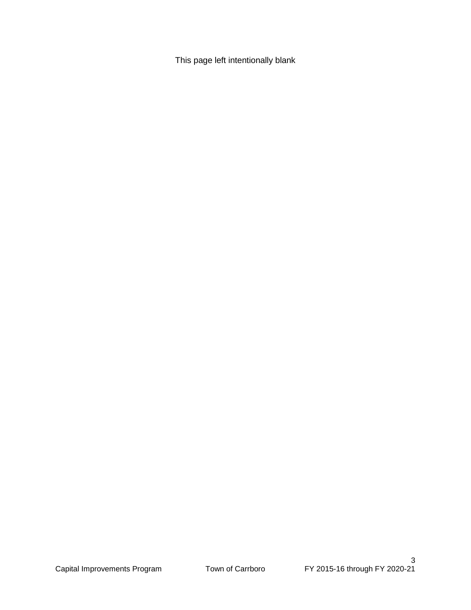This page left intentionally blank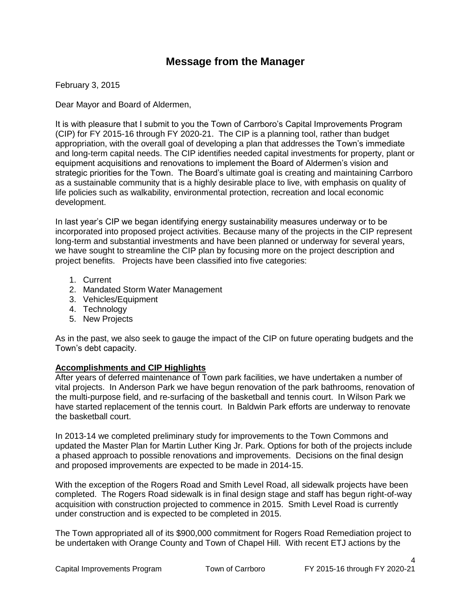### **Message from the Manager**

February 3, 2015

Dear Mayor and Board of Aldermen,

It is with pleasure that I submit to you the Town of Carrboro's Capital Improvements Program (CIP) for FY 2015-16 through FY 2020-21. The CIP is a planning tool, rather than budget appropriation, with the overall goal of developing a plan that addresses the Town's immediate and long-term capital needs. The CIP identifies needed capital investments for property, plant or equipment acquisitions and renovations to implement the Board of Aldermen's vision and strategic priorities for the Town. The Board's ultimate goal is creating and maintaining Carrboro as a sustainable community that is a highly desirable place to live, with emphasis on quality of life policies such as walkability, environmental protection, recreation and local economic development.

In last year's CIP we began identifying energy sustainability measures underway or to be incorporated into proposed project activities. Because many of the projects in the CIP represent long-term and substantial investments and have been planned or underway for several years, we have sought to streamline the CIP plan by focusing more on the project description and project benefits. Projects have been classified into five categories:

- 1. Current
- 2. Mandated Storm Water Management
- 3. Vehicles/Equipment
- 4. Technology
- 5. New Projects

As in the past, we also seek to gauge the impact of the CIP on future operating budgets and the Town's debt capacity.

#### **Accomplishments and CIP Highlights**

After years of deferred maintenance of Town park facilities, we have undertaken a number of vital projects. In Anderson Park we have begun renovation of the park bathrooms, renovation of the multi-purpose field, and re-surfacing of the basketball and tennis court. In Wilson Park we have started replacement of the tennis court. In Baldwin Park efforts are underway to renovate the basketball court.

In 2013-14 we completed preliminary study for improvements to the Town Commons and updated the Master Plan for Martin Luther King Jr. Park. Options for both of the projects include a phased approach to possible renovations and improvements. Decisions on the final design and proposed improvements are expected to be made in 2014-15.

With the exception of the Rogers Road and Smith Level Road, all sidewalk projects have been completed. The Rogers Road sidewalk is in final design stage and staff has begun right-of-way acquisition with construction projected to commence in 2015. Smith Level Road is currently under construction and is expected to be completed in 2015.

The Town appropriated all of its \$900,000 commitment for Rogers Road Remediation project to be undertaken with Orange County and Town of Chapel Hill. With recent ETJ actions by the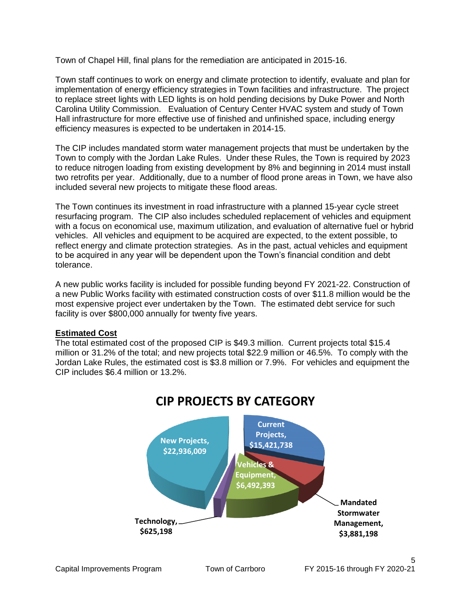Town of Chapel Hill, final plans for the remediation are anticipated in 2015-16.

Town staff continues to work on energy and climate protection to identify, evaluate and plan for implementation of energy efficiency strategies in Town facilities and infrastructure. The project to replace street lights with LED lights is on hold pending decisions by Duke Power and North Carolina Utility Commission. Evaluation of Century Center HVAC system and study of Town Hall infrastructure for more effective use of finished and unfinished space, including energy efficiency measures is expected to be undertaken in 2014-15.

The CIP includes mandated storm water management projects that must be undertaken by the Town to comply with the Jordan Lake Rules. Under these Rules, the Town is required by 2023 to reduce nitrogen loading from existing development by 8% and beginning in 2014 must install two retrofits per year. Additionally, due to a number of flood prone areas in Town, we have also included several new projects to mitigate these flood areas.

The Town continues its investment in road infrastructure with a planned 15-year cycle street resurfacing program. The CIP also includes scheduled replacement of vehicles and equipment with a focus on economical use, maximum utilization, and evaluation of alternative fuel or hybrid vehicles. All vehicles and equipment to be acquired are expected, to the extent possible, to reflect energy and climate protection strategies. As in the past, actual vehicles and equipment to be acquired in any year will be dependent upon the Town's financial condition and debt tolerance.

A new public works facility is included for possible funding beyond FY 2021-22. Construction of a new Public Works facility with estimated construction costs of over \$11.8 million would be the most expensive project ever undertaken by the Town. The estimated debt service for such facility is over \$800,000 annually for twenty five years.

#### **Estimated Cost**

The total estimated cost of the proposed CIP is \$49.3 million. Current projects total \$15.4 million or 31.2% of the total; and new projects total \$22.9 million or 46.5%. To comply with the Jordan Lake Rules, the estimated cost is \$3.8 million or 7.9%. For vehicles and equipment the CIP includes \$6.4 million or 13.2%.



# **CIP PROJECTS BY CATEGORY**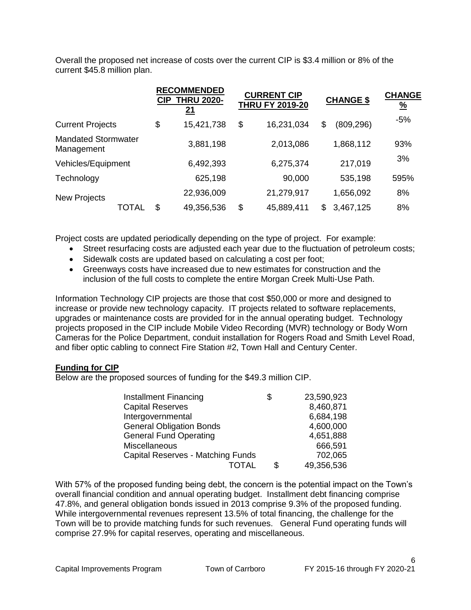Overall the proposed net increase of costs over the current CIP is \$3.4 million or 8% of the current \$45.8 million plan.

|                                          |    | <b>RECOMMENDED</b><br><b>CIP THRU 2020-</b><br>21 | <b>CURRENT CIP</b><br><b>THRU FY 2019-20</b> | <b>CHANGE \$</b> | <b>CHANGE</b><br>$\frac{9}{6}$ |
|------------------------------------------|----|---------------------------------------------------|----------------------------------------------|------------------|--------------------------------|
| <b>Current Projects</b>                  | \$ | 15,421,738                                        | \$<br>16,231,034                             | \$<br>(809, 296) | $-5%$                          |
| <b>Mandated Stormwater</b><br>Management |    | 3,881,198                                         | 2,013,086                                    | 1,868,112        | 93%                            |
| Vehicles/Equipment                       |    | 6,492,393                                         | 6,275,374                                    | 217,019          | 3%                             |
| Technology                               |    | 625,198                                           | 90,000                                       | 535,198          | 595%                           |
| New Projects                             |    | 22,936,009                                        | 21,279,917                                   | 1,656,092        | 8%                             |
| TOTAL                                    | \$ | 49,356,536                                        | \$<br>45,889,411                             | \$<br>3,467,125  | 8%                             |

Project costs are updated periodically depending on the type of project. For example:

- Street resurfacing costs are adjusted each year due to the fluctuation of petroleum costs;
- Sidewalk costs are updated based on calculating a cost per foot;
- Greenways costs have increased due to new estimates for construction and the inclusion of the full costs to complete the entire Morgan Creek Multi-Use Path.

Information Technology CIP projects are those that cost \$50,000 or more and designed to increase or provide new technology capacity. IT projects related to software replacements, upgrades or maintenance costs are provided for in the annual operating budget. Technology projects proposed in the CIP include Mobile Video Recording (MVR) technology or Body Worn Cameras for the Police Department, conduit installation for Rogers Road and Smith Level Road, and fiber optic cabling to connect Fire Station #2, Town Hall and Century Center.

#### **Funding for CIP**

Below are the proposed sources of funding for the \$49.3 million CIP.

| Installment Financing                    | \$<br>23,590,923 |
|------------------------------------------|------------------|
| <b>Capital Reserves</b>                  | 8,460,871        |
| Intergovernmental                        | 6,684,198        |
| <b>General Obligation Bonds</b>          | 4,600,000        |
| <b>General Fund Operating</b>            | 4,651,888        |
| Miscellaneous                            | 666,591          |
| <b>Capital Reserves - Matching Funds</b> | 702,065          |
| TOTAL                                    | 49,356,536       |

With 57% of the proposed funding being debt, the concern is the potential impact on the Town's overall financial condition and annual operating budget. Installment debt financing comprise 47.8%, and general obligation bonds issued in 2013 comprise 9.3% of the proposed funding. While intergovernmental revenues represent 13.5% of total financing, the challenge for the Town will be to provide matching funds for such revenues. General Fund operating funds will comprise 27.9% for capital reserves, operating and miscellaneous.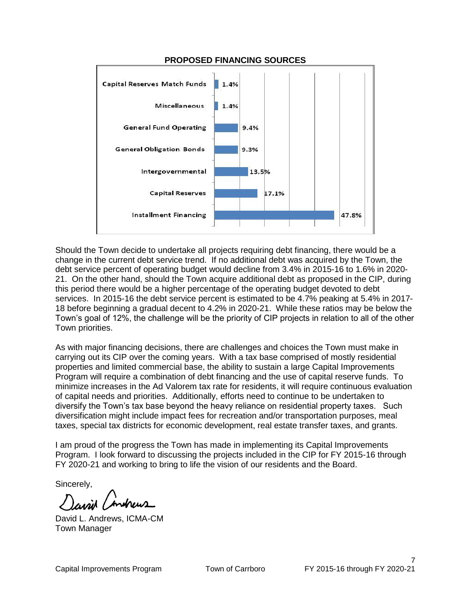

#### **PROPOSED FINANCING SOURCES**

Should the Town decide to undertake all projects requiring debt financing, there would be a change in the current debt service trend. If no additional debt was acquired by the Town, the debt service percent of operating budget would decline from 3.4% in 2015-16 to 1.6% in 2020- 21. On the other hand, should the Town acquire additional debt as proposed in the CIP, during this period there would be a higher percentage of the operating budget devoted to debt services. In 2015-16 the debt service percent is estimated to be 4.7% peaking at 5.4% in 2017- 18 before beginning a gradual decent to 4.2% in 2020-21. While these ratios may be below the Town's goal of 12%, the challenge will be the priority of CIP projects in relation to all of the other Town priorities.

As with major financing decisions, there are challenges and choices the Town must make in carrying out its CIP over the coming years. With a tax base comprised of mostly residential properties and limited commercial base, the ability to sustain a large Capital Improvements Program will require a combination of debt financing and the use of capital reserve funds. To minimize increases in the Ad Valorem tax rate for residents, it will require continuous evaluation of capital needs and priorities. Additionally, efforts need to continue to be undertaken to diversify the Town's tax base beyond the heavy reliance on residential property taxes. Such diversification might include impact fees for recreation and/or transportation purposes, meal taxes, special tax districts for economic development, real estate transfer taxes, and grants.

I am proud of the progress the Town has made in implementing its Capital Improvements Program. I look forward to discussing the projects included in the CIP for FY 2015-16 through FY 2020-21 and working to bring to life the vision of our residents and the Board.

Sincerely,

crait / inderess

David L. Andrews, ICMA-CM Town Manager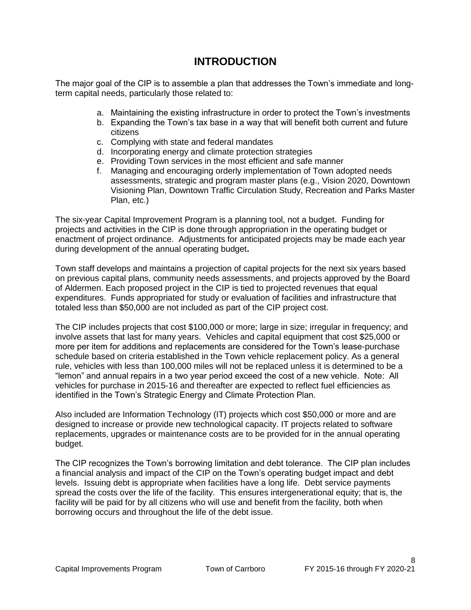## **INTRODUCTION**

The major goal of the CIP is to assemble a plan that addresses the Town's immediate and longterm capital needs, particularly those related to:

- a. Maintaining the existing infrastructure in order to protect the Town's investments
- b. Expanding the Town's tax base in a way that will benefit both current and future citizens
- c. Complying with state and federal mandates
- d. Incorporating energy and climate protection strategies
- e. Providing Town services in the most efficient and safe manner
- f. Managing and encouraging orderly implementation of Town adopted needs assessments, strategic and program master plans (e.g., Vision 2020, Downtown Visioning Plan, Downtown Traffic Circulation Study, Recreation and Parks Master Plan, etc.)

The six-year Capital Improvement Program is a planning tool, not a budget. Funding for projects and activities in the CIP is done through appropriation in the operating budget or enactment of project ordinance. Adjustments for anticipated projects may be made each year during development of the annual operating budget**.**

Town staff develops and maintains a projection of capital projects for the next six years based on previous capital plans, community needs assessments, and projects approved by the Board of Aldermen. Each proposed project in the CIP is tied to projected revenues that equal expenditures. Funds appropriated for study or evaluation of facilities and infrastructure that totaled less than \$50,000 are not included as part of the CIP project cost.

The CIP includes projects that cost \$100,000 or more; large in size; irregular in frequency; and involve assets that last for many years. Vehicles and capital equipment that cost \$25,000 or more per item for additions and replacements are considered for the Town's lease-purchase schedule based on criteria established in the Town vehicle replacement policy. As a general rule, vehicles with less than 100,000 miles will not be replaced unless it is determined to be a "lemon" and annual repairs in a two year period exceed the cost of a new vehicle. Note: All vehicles for purchase in 2015-16 and thereafter are expected to reflect fuel efficiencies as identified in the Town's Strategic Energy and Climate Protection Plan.

Also included are Information Technology (IT) projects which cost \$50,000 or more and are designed to increase or provide new technological capacity. IT projects related to software replacements, upgrades or maintenance costs are to be provided for in the annual operating budget.

The CIP recognizes the Town's borrowing limitation and debt tolerance. The CIP plan includes a financial analysis and impact of the CIP on the Town's operating budget impact and debt levels. Issuing debt is appropriate when facilities have a long life. Debt service payments spread the costs over the life of the facility. This ensures intergenerational equity; that is, the facility will be paid for by all citizens who will use and benefit from the facility, both when borrowing occurs and throughout the life of the debt issue.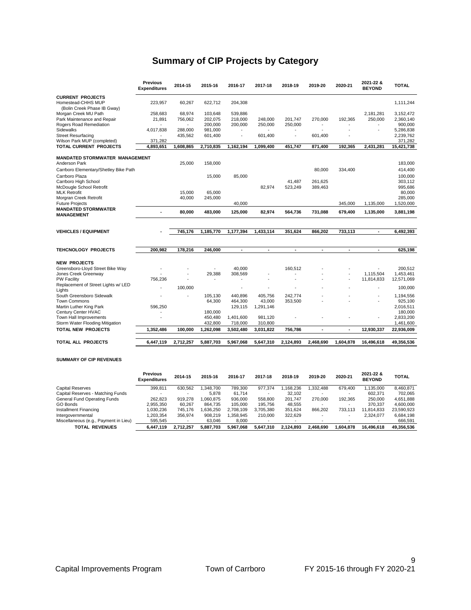## **Summary of CIP Projects by Category**

|                                                                              | Previous<br><b>Expenditures</b> | 2014-15   | 2015-16              | 2016-17              | 2017-18              | 2018-19        | 2019-20                  | 2020-21                  | 2021-22 &<br><b>BEYOND</b> | <b>TOTAL</b>            |
|------------------------------------------------------------------------------|---------------------------------|-----------|----------------------|----------------------|----------------------|----------------|--------------------------|--------------------------|----------------------------|-------------------------|
| <b>CURRENT PROJECTS</b><br>Homestead-CHHS MUP<br>(Bolin Creek Phase IB Gway) | 223.957                         | 60,267    | 622.712              | 204.308              |                      |                |                          |                          |                            | 1.111.244               |
| Morgan Creek MU Path                                                         | 258.683                         | 68.974    | 103.648              | 539.886              |                      |                |                          |                          | 2.181.281                  | 3.152.472               |
| Park Maintenance and Repair                                                  | 21,891                          | 756,062   | 202,075              | 218,000              | 248,000              | 201,747        | 270,000                  | 192,365                  | 250,000                    | 2,360,140               |
| Rogers Road Remediation                                                      |                                 |           | 200,000              | 200,000              | 250,000              | 250,000        |                          |                          |                            | 900,000                 |
| Sidewalks                                                                    | 4,017,838                       | 288,000   | 981,000              |                      |                      |                | $\overline{\phantom{a}}$ |                          |                            | 5,286,838               |
| <b>Street Resurfacing</b>                                                    |                                 | 435,562   | 601,400              | ÷,                   | 601,400              |                | 601,400                  |                          |                            | 2,239,762               |
| Wilson Park MUP (completed)                                                  | 371,282                         |           |                      |                      |                      |                |                          |                          |                            | 371,282                 |
| <b>TOTAL CURRENT PROJECTS</b>                                                | 4,893,651                       | 1,608,865 | 2,710,835            | 1,162,194            | 1,099,400            | 451,747        | 871,400                  | 192,365                  | 2,431,281                  | 15,421,738              |
| <b>MANDATED STORMWATER MANAGEMENT</b>                                        |                                 |           |                      |                      |                      |                |                          |                          |                            |                         |
| Anderson Park                                                                |                                 | 25,000    | 158.000              |                      |                      |                |                          |                          |                            | 183.000                 |
| Carrboro Elementary/Shetley Bike Path                                        |                                 |           |                      |                      |                      |                | 80,000                   | 334,400                  |                            | 414,400                 |
| Carrboro Plaza                                                               |                                 |           | 15.000               | 85.000               |                      |                |                          |                          |                            | 100,000                 |
| Carrboro High School                                                         |                                 |           |                      |                      |                      | 41,487         | 261,625                  |                          |                            | 303,112                 |
| McDougle School Retrofit                                                     |                                 |           |                      |                      | 82.974               | 523.249        | 389,463                  |                          |                            | 995.686                 |
| <b>MLK Retrofit</b>                                                          |                                 | 15,000    | 65,000               |                      |                      |                |                          |                          |                            | 80,000                  |
| Morgran Creek Retrofit<br><b>Future Projects</b>                             |                                 | 40.000    | 245,000              | 40,000               |                      |                |                          | 345,000                  | 1,135,000                  | 285,000<br>1,520,000    |
| <b>MANDATED STORMWATER</b>                                                   |                                 |           |                      |                      |                      |                |                          |                          |                            |                         |
| <b>MANAGEMENT</b>                                                            | $\blacksquare$                  | 80,000    | 483,000              | 125,000              | 82.974               | 564,736        | 731,088                  | 679,400                  | 1,135,000                  | 3,881,198               |
|                                                                              |                                 |           |                      |                      |                      |                |                          |                          |                            |                         |
| <b>VEHICLES / EQUIPMENT</b>                                                  |                                 | 745.176   | 1.185.770            | 1,177,394            | 1.433.114            | 351.624        | 866.202                  | 733,113                  | $\blacksquare$             | 6.492.393               |
|                                                                              |                                 |           |                      |                      |                      |                |                          |                          |                            |                         |
| <b>TEHCNOLOGY PROJECTS</b>                                                   | 200,982                         | 178,216   | 246,000              | ٠                    | ٠                    | $\blacksquare$ | ٠                        | ٠                        | $\blacksquare$             | 625,198                 |
|                                                                              |                                 |           |                      |                      |                      |                |                          |                          |                            |                         |
| <b>NEW PROJECTS</b>                                                          |                                 |           |                      |                      |                      |                |                          |                          |                            |                         |
| Greensboro-Lloyd Street Bike Way                                             |                                 |           |                      | 40.000               |                      | 160,512        |                          |                          |                            | 200.512                 |
| Jones Creek Greenway                                                         |                                 |           | 29,388               | 308,569              |                      |                |                          |                          | 1,115,504                  | 1,453,461               |
| <b>PW Facility</b>                                                           | 756,236                         |           |                      |                      |                      | $\overline{a}$ |                          | $\overline{\phantom{a}}$ | 11,814,833                 | 12,571,069              |
| Replacement of Street Lights w/ LED<br>Lights                                |                                 | 100,000   |                      |                      |                      |                |                          |                          |                            | 100,000                 |
| South Greensboro Sidewalk                                                    |                                 |           | 105.130              | 440.896              | 405.756              | 242.774        |                          |                          |                            | 1.194.556               |
| <b>Town Commons</b>                                                          |                                 |           | 64,300               | 464.300              | 43.000               | 353,500        |                          |                          | $\overline{\phantom{a}}$   | 925.100                 |
| Martin Luther King Park                                                      | 596,250                         |           |                      | 129,115              | 1,291,146            |                |                          |                          |                            | 2,016,511               |
| Century Center HVAC                                                          |                                 |           | 180.000              |                      |                      |                |                          |                          |                            | 180.000                 |
| Town Hall Improvements                                                       |                                 |           | 450,480              | 1,401,600            | 981,120              |                |                          |                          |                            | 2,833,200               |
| Storm Water Flooding Mitigation<br><b>TOTAL NEW PROJECTS</b>                 | 1,352,486                       | 100,000   | 432,800<br>1,262,098 | 718,000<br>3,502,480 | 310,800<br>3,031,822 | 756,786        | $\overline{\phantom{a}}$ | ٠                        | 12,930,337                 | 1,461,600<br>22,936,009 |
|                                                                              |                                 |           |                      |                      |                      |                |                          |                          |                            |                         |
| TOTAL ALL PROJECTS                                                           |                                 |           |                      |                      |                      |                |                          |                          |                            |                         |

#### **SUMMARY OF CIP REVENUES**

|                                       | <b>Previous</b><br><b>Expenditures</b> | 2014-15   | 2015-16   | 2016-17   | 2017-18   | 2018-19                  | 2019-20   | 2020-21   | 2021-22 &<br><b>BEYOND</b> | <b>TOTAL</b> |
|---------------------------------------|----------------------------------------|-----------|-----------|-----------|-----------|--------------------------|-----------|-----------|----------------------------|--------------|
| <b>Capital Reserves</b>               | 399.811                                | 630.562   | .348.700  | 789.300   | 977.374   | 1.168.236                | .332.488  | 679.400   | 1.135.000                  | 8.460.871    |
| Capital Reserves - Matching Funds     |                                        |           | 5.878     | 61.714    |           | 32.102                   |           | -         | 602.371                    | 702.065      |
| General Fund Operating Funds          | 262.823                                | 919.278   | .060.875  | 936.000   | 558.800   | 201.747                  | 270,000   | 192.365   | 250,000                    | 4.651.888    |
| GO Bonds                              | 2,955,350                              | 60.267    | 864.735   | 105.000   | 195.756   | 48.555                   |           |           | 370.337                    | 4.600.000    |
| Installment Financing                 | 1.030.236                              | 745.176   | .636.250  | 2.708.109 | 3.705.380 | 351.624                  | 866.202   | 733.113   | 1.814.833                  | 23.590.923   |
| Intergovernmental                     | 1.203.354                              | 356.974   | 908.219   | .358.945  | 210,000   | 322,629                  |           | <b>.</b>  | 2.324.077                  | 6.684.198    |
| Miscellaneous (e.g., Payment in Lieu) | 595,545                                |           | 63.046    | 8,000     |           | $\overline{\phantom{a}}$ |           |           |                            | 666,591      |
| <b>TOTAL REVENUES</b>                 | 6.447.119                              | 2.712.257 | 5.887.703 | 5.967.068 | 5.647.310 | 2.124.893                | 2.468.690 | 1.604.878 | 16.496.618                 | 49,356,536   |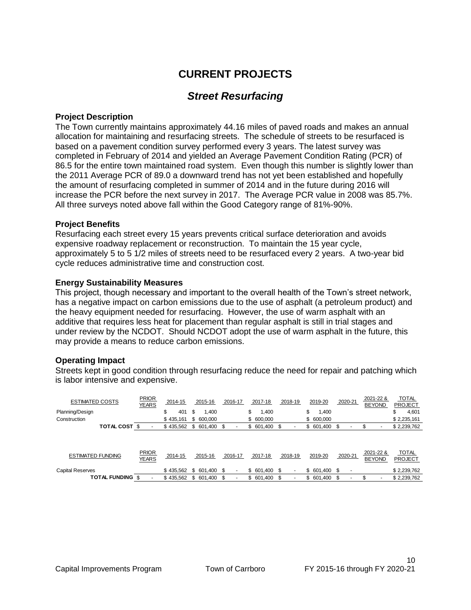# **CURRENT PROJECTS**

### *Street Resurfacing*

#### **Project Description**

The Town currently maintains approximately 44.16 miles of paved roads and makes an annual allocation for maintaining and resurfacing streets. The schedule of streets to be resurfaced is based on a pavement condition survey performed every 3 years. The latest survey was completed in February of 2014 and yielded an Average Pavement Condition Rating (PCR) of 86.5 for the entire town maintained road system. Even though this number is slightly lower than the 2011 Average PCR of 89.0 a downward trend has not yet been established and hopefully the amount of resurfacing completed in summer of 2014 and in the future during 2016 will increase the PCR before the next survey in 2017. The Average PCR value in 2008 was 85.7%. All three surveys noted above fall within the Good Category range of 81%-90%.

#### **Project Benefits**

Resurfacing each street every 15 years prevents critical surface deterioration and avoids expensive roadway replacement or reconstruction. To maintain the 15 year cycle, approximately 5 to 5 1/2 miles of streets need to be resurfaced every 2 years. A two-year bid cycle reduces administrative time and construction cost.

#### **Energy Sustainability Measures**

This project, though necessary and important to the overall health of the Town's street network, has a negative impact on carbon emissions due to the use of asphalt (a petroleum product) and the heavy equipment needed for resurfacing. However, the use of warm asphalt with an additive that requires less heat for placement than regular asphalt is still in trial stages and under review by the NCDOT. Should NCDOT adopt the use of warm asphalt in the future, this may provide a means to reduce carbon emissions.

#### **Operating Impact**

Streets kept in good condition through resurfacing reduce the need for repair and patching which is labor intensive and expensive.

| <b>ESTIMATED COSTS</b>   | <b>PRIOR</b><br><b>YEARS</b> | 2014-15   | 2015-16       | 2016-17 | 2017-18          | 2018-19                  | 2019-20        | 2020-21        | 2021-22 &<br><b>BEYOND</b> | <b>TOTAL</b><br><b>PROJECT</b> |
|--------------------------|------------------------------|-----------|---------------|---------|------------------|--------------------------|----------------|----------------|----------------------------|--------------------------------|
| Planning/Design          |                              | \$<br>401 | 1,400<br>\$   |         | \$<br>400, ا     |                          | \$<br>1,400    |                |                            | 4,601                          |
| Construction             |                              | \$435.161 | \$ 600,000    |         | \$600,000        |                          | 600,000<br>\$  |                |                            | \$2,235,161                    |
| TOTAL COST \$            | $\overline{\phantom{a}}$     | \$435,562 | 601,400<br>\$ |         | 601,400 \$<br>S  | ٠                        | 601,400<br>\$  |                |                            | \$2,239,762                    |
|                          |                              |           |               |         |                  |                          |                |                |                            |                                |
| <b>ESTIMATED FUNDING</b> | <b>PRIOR</b><br><b>YEARS</b> | 2014-15   | 2015-16       | 2016-17 | 2017-18          | 2018-19                  | 2019-20        | 2020-21        | 2021-22 &<br><b>BEYOND</b> | <b>TOTAL</b><br><b>PROJECT</b> |
| <b>Capital Reserves</b>  |                              | \$435,562 | \$ 601,400    | \$      | $$601,400$ \$    | $\overline{\phantom{a}}$ | 601,400<br>\$  | - \$<br>$\sim$ |                            | \$2,239,762                    |
| <b>TOTAL FUNDING \$</b>  |                              | \$435,562 | 601,400<br>\$ |         | 601,400 \$<br>\$ |                          | 601,400<br>\$. |                | \$                         | \$2,239,762                    |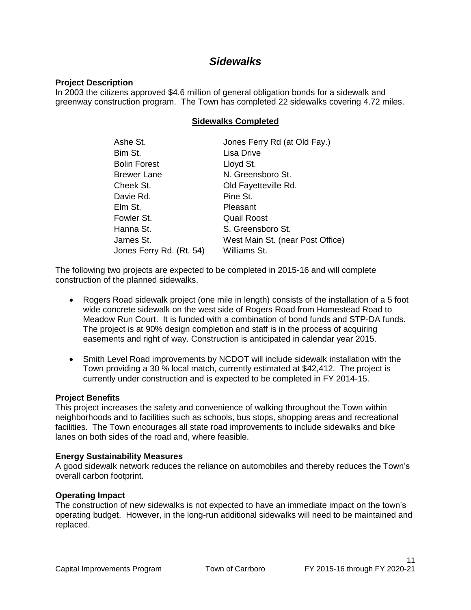### *Sidewalks*

#### **Project Description**

In 2003 the citizens approved \$4.6 million of general obligation bonds for a sidewalk and greenway construction program. The Town has completed 22 sidewalks covering 4.72 miles.

#### **Sidewalks Completed**

| Ashe St.                 | Jones Ferry Rd (at Old Fay.)     |
|--------------------------|----------------------------------|
| Bim St.                  | Lisa Drive                       |
| <b>Bolin Forest</b>      | Lloyd St.                        |
| <b>Brewer Lane</b>       | N. Greensboro St.                |
| Cheek St.                | Old Fayetteville Rd.             |
| Davie Rd.                | Pine St.                         |
| Elm St.                  | Pleasant                         |
| Fowler St.               | Quail Roost                      |
| Hanna St.                | S. Greensboro St.                |
| James St.                | West Main St. (near Post Office) |
| Jones Ferry Rd. (Rt. 54) | Williams St.                     |

The following two projects are expected to be completed in 2015-16 and will complete construction of the planned sidewalks.

- Rogers Road sidewalk project (one mile in length) consists of the installation of a 5 foot wide concrete sidewalk on the west side of Rogers Road from Homestead Road to Meadow Run Court. It is funded with a combination of bond funds and STP-DA funds. The project is at 90% design completion and staff is in the process of acquiring easements and right of way. Construction is anticipated in calendar year 2015.
- Smith Level Road improvements by NCDOT will include sidewalk installation with the Town providing a 30 % local match, currently estimated at \$42,412. The project is currently under construction and is expected to be completed in FY 2014-15.

#### **Project Benefits**

This project increases the safety and convenience of walking throughout the Town within neighborhoods and to facilities such as schools, bus stops, shopping areas and recreational facilities. The Town encourages all state road improvements to include sidewalks and bike lanes on both sides of the road and, where feasible.

#### **Energy Sustainability Measures**

A good sidewalk network reduces the reliance on automobiles and thereby reduces the Town's overall carbon footprint.

#### **Operating Impact**

The construction of new sidewalks is not expected to have an immediate impact on the town's operating budget. However, in the long-run additional sidewalks will need to be maintained and replaced.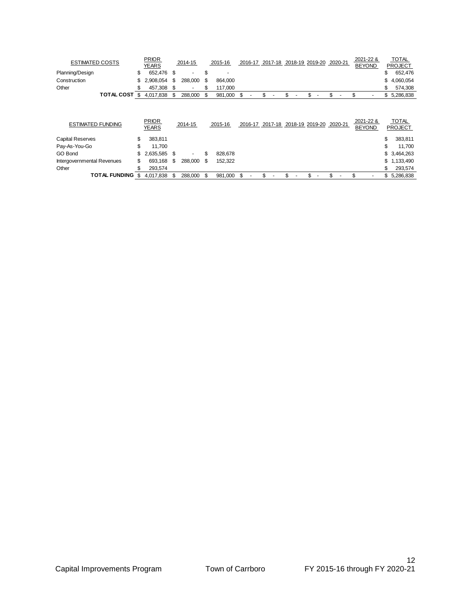| <b>ESTIMATED COSTS</b><br>Planning/Design<br>Construction<br>Other | \$<br>S.<br>S | <b>PRIOR</b><br>YEARS<br>652,476<br>2,908,054<br>457,308 | \$<br>S<br>\$ | 2014-15<br>$\sim$<br>288,000<br>۰ | S<br>S<br>S | 2015-16<br>864,000<br>117,000 | 2016-17 | 2017-18 2018-19 2019-20 |    |                 | 2020-21 | 2021-22 &<br><b>BEYOND</b> | S<br>\$<br>\$ | <b>TOTAL</b><br><b>PROJECT</b><br>652,476<br>4,060,054<br>574,308 |
|--------------------------------------------------------------------|---------------|----------------------------------------------------------|---------------|-----------------------------------|-------------|-------------------------------|---------|-------------------------|----|-----------------|---------|----------------------------|---------------|-------------------------------------------------------------------|
| TOTAL COST                                                         | \$            | 4,017,838                                                | \$            | 288,000                           | \$          | 981,000                       | \$      | \$                      | \$ | \$              | \$      | \$                         | \$            | 5,286,838                                                         |
| <b>ESTIMATED FUNDING</b>                                           |               | <b>PRIOR</b><br><b>YEARS</b>                             |               | 2014-15                           |             | 2015-16                       | 2016-17 | 2017-18                 |    | 2018-19 2019-20 | 2020-21 | 2021-22 &<br><b>BEYOND</b> |               | <b>TOTAL</b><br><b>PROJECT</b>                                    |
| <b>Capital Reserves</b>                                            | \$            | 383,811                                                  |               |                                   |             |                               |         |                         |    |                 |         |                            | \$            | 383,811                                                           |
| Pay-As-You-Go                                                      | \$            | 11.700                                                   |               |                                   |             |                               |         |                         |    |                 |         |                            | \$            | 11.700                                                            |
| GO Bond                                                            | \$            | 2,635,585 \$                                             |               | $\sim$                            | \$          | 828,678                       |         |                         |    |                 |         |                            | \$            | 3,464,263                                                         |
| Intergovernmental Revenues                                         | \$            | 693,168                                                  | \$            | 288,000                           | \$          | 152,322                       |         |                         |    |                 |         |                            | \$            | 1,133,490                                                         |
| Other                                                              | \$            | 293,574                                                  |               |                                   |             |                               |         |                         |    |                 |         |                            | \$            | 293,574                                                           |
| <b>TOTAL FUNDING</b>                                               | \$.           | 4,017,838                                                | \$.           | 288,000                           | \$.         | 981,000                       | \$      | \$                      | \$ | \$              | \$      |                            | \$.           | 5,286,838                                                         |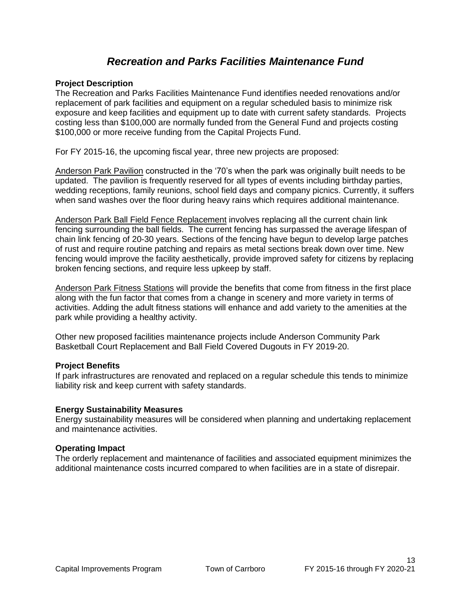### *Recreation and Parks Facilities Maintenance Fund*

#### **Project Description**

The Recreation and Parks Facilities Maintenance Fund identifies needed renovations and/or replacement of park facilities and equipment on a regular scheduled basis to minimize risk exposure and keep facilities and equipment up to date with current safety standards. Projects costing less than \$100,000 are normally funded from the General Fund and projects costing \$100,000 or more receive funding from the Capital Projects Fund.

For FY 2015-16, the upcoming fiscal year, three new projects are proposed:

Anderson Park Pavilion constructed in the '70's when the park was originally built needs to be updated. The pavilion is frequently reserved for all types of events including birthday parties, wedding receptions, family reunions, school field days and company picnics. Currently, it suffers when sand washes over the floor during heavy rains which requires additional maintenance.

Anderson Park Ball Field Fence Replacement involves replacing all the current chain link fencing surrounding the ball fields. The current fencing has surpassed the average lifespan of chain link fencing of 20-30 years. Sections of the fencing have begun to develop large patches of rust and require routine patching and repairs as metal sections break down over time. New fencing would improve the facility aesthetically, provide improved safety for citizens by replacing broken fencing sections, and require less upkeep by staff.

Anderson Park Fitness Stations will provide the benefits that come from fitness in the first place along with the fun factor that comes from a change in scenery and more variety in terms of activities. Adding the adult fitness stations will enhance and add variety to the amenities at the park while providing a healthy activity.

Other new proposed facilities maintenance projects include Anderson Community Park Basketball Court Replacement and Ball Field Covered Dugouts in FY 2019-20.

#### **Project Benefits**

If park infrastructures are renovated and replaced on a regular schedule this tends to minimize liability risk and keep current with safety standards.

#### **Energy Sustainability Measures**

Energy sustainability measures will be considered when planning and undertaking replacement and maintenance activities.

#### **Operating Impact**

The orderly replacement and maintenance of facilities and associated equipment minimizes the additional maintenance costs incurred compared to when facilities are in a state of disrepair.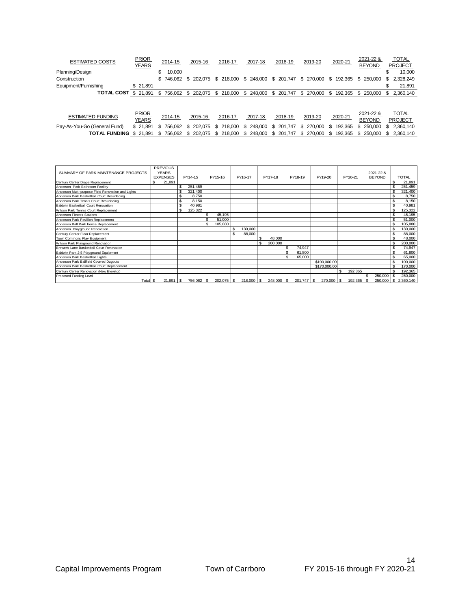| <b>ESTIMATED COSTS</b>      | <u>PRIOR</u><br><b>YEARS</b> | 2014-15 | 2015-16 | 2016-17 | 2017-18 | 2018-19 | 2019-20 | 2020-21 | 2021-22 &<br><b>BEYOND</b> | <b>TOTAL</b><br><b>PROJECT</b>                                                                       |
|-----------------------------|------------------------------|---------|---------|---------|---------|---------|---------|---------|----------------------------|------------------------------------------------------------------------------------------------------|
| Planning/Design             |                              | 10.000  |         |         |         |         |         |         |                            | 10.000                                                                                               |
| Construction                |                              |         |         |         |         |         |         |         |                            | \$ 746.062 \$ 202.075 \$ 218.000 \$ 248.000 \$ 201.747 \$ 270.000 \$ 192.365 \$ 250.000 \$ 2.328.249 |
| Equipment/Furnishing        | \$21.891                     |         |         |         |         |         |         |         |                            | 21.891                                                                                               |
| <b>TOTAL COST \$ 21.891</b> |                              |         |         |         |         |         |         |         |                            | \$ 756.062 \$ 202.075 \$ 218.000 \$ 248.000 \$ 201.747 \$ 270.000 \$ 192.365 \$ 250.000 \$ 2.360.140 |
|                             |                              |         |         |         |         |         |         |         |                            |                                                                                                      |

| <b>ESTIMATED FUNDING</b>      | <u>PRIOR</u><br>YEARS | 2014-15                                 | 2015-16 | 2016-17 | 2017-18 | 2018-19   | 2019-20   | 2020-21                | 2021-22 &<br><b>BEYOND</b> | <b>TOTAL</b><br><b>PROJECT</b>                                                                                 |
|-------------------------------|-----------------------|-----------------------------------------|---------|---------|---------|-----------|-----------|------------------------|----------------------------|----------------------------------------------------------------------------------------------------------------|
| Pav-As-You-Go (General Fund)  |                       |                                         |         |         |         |           |           |                        |                            | \$ 21,891 \$ 756,062 \$ 202,075 \$ 218,000 \$ 248,000 \$ 201,747 \$ 270,000 \$ 192,365 \$ 250,000 \$ 2,360,140 |
| <b>TOTAL FUNDING \$21.891</b> |                       | \$756.062 \$202.075 \$218.000 \$248.000 |         |         |         | \$201.747 | \$270,000 | \$192,365 \$250,000 \$ |                            | 2.360.140                                                                                                      |

| SUMMARY OF PARK MAINTENANCE PROJECTS               | <b>PREVIOUS</b><br><b>YEARS</b> |                   |               |              |                |         |                |     |               |              |               |          | 2021-22 &     |     |              |
|----------------------------------------------------|---------------------------------|-------------------|---------------|--------------|----------------|---------|----------------|-----|---------------|--------------|---------------|----------|---------------|-----|--------------|
|                                                    | <b>EXPENSES</b>                 | FY14-15           |               | FY15-16      | FY16-17        | FY17-18 |                |     | FY18-19       | FY19-20      | FY20-21       |          | <b>BEYOND</b> |     | <b>TOTAL</b> |
| Century Center Drape Replacement                   | \$.<br>21.891                   |                   |               |              |                |         |                |     |               |              |               |          |               |     | 21,891       |
| Anderson Park Bathroom Facility                    |                                 | 251,459           |               |              |                |         |                |     |               |              |               |          |               | s   | 251,459      |
| Anderson Multi-purpose Field Renovation and Lights |                                 | 321,400           |               |              |                |         |                |     |               |              |               |          |               |     | 321,400      |
| Anderson Park Basketball Court Resurfacing         |                                 | 8.750             |               |              |                |         |                |     |               |              |               |          |               |     | 8,750        |
| Anderson Park Tennis Court Resurfacing             |                                 | 8.150             |               |              |                |         |                |     |               |              |               |          |               |     | 8,150        |
| Baldwin Basketball Court Renovation                |                                 | 40.981            |               |              |                |         |                |     |               |              |               |          |               | \$. | 40,981       |
| Wilson Park Tennis Court Replacement               |                                 | 125.322           |               |              |                |         |                |     |               |              |               |          |               |     | 125,322      |
| Anderson Fitness Stations                          |                                 |                   | \$            | 45.195       |                |         |                |     |               |              |               |          |               |     | 45,195       |
| Anderson Park Pavillion Replacement                |                                 |                   | <sub>\$</sub> | 51,000       |                |         |                |     |               |              |               |          |               |     | 51,000       |
| Anderson Ball Park Fence Replacement               |                                 |                   | \$            | 105,880      |                |         |                |     |               |              |               |          |               |     | 105,880      |
| Anderson Playground Renovation                     |                                 |                   |               |              | 130,000        |         |                |     |               |              |               |          |               |     | 130.000      |
| Century Center Floor Replacement                   |                                 |                   |               |              | 88,000         |         |                |     |               |              |               |          |               |     | 88,000       |
| Town Commons Play Equipment                        |                                 |                   |               |              |                | \$      | 48,000         |     |               |              |               |          |               |     | 48,000       |
| Wilson Park Playground Renovation                  |                                 |                   |               |              |                | \$      | 200,000        |     |               |              |               |          |               |     | 200,000      |
| Brewer's Lane Basketball Court Renovation          |                                 |                   |               |              |                |         |                | \$. | 74.947        |              |               |          |               |     | 74,947       |
| Baldwin Park 2-5 Playground Equipment              |                                 |                   |               |              |                |         |                |     | 61.800        |              |               |          |               |     | 61,800       |
| Anderson Park Basketball Lights                    |                                 |                   |               |              |                |         |                |     | 65,000        |              |               |          |               |     | 65,000       |
| Anderson Park Ballfield Covered Dugouts            |                                 |                   |               |              |                |         |                |     |               | \$100,000.00 |               |          |               |     | 100,000      |
| Anderson Park Basketball Court Replacement         |                                 |                   |               |              |                |         |                |     |               | \$170,000,00 |               |          |               |     | 170,000      |
| Century Center Renovation (New Elevator)           |                                 |                   |               |              |                |         |                |     |               |              | \$<br>192.365 |          |               |     | 192,365      |
| Proposed Funding Level                             |                                 |                   |               |              |                |         |                |     |               |              |               | \$.      | 250,000       |     | 250,000      |
| Total \$                                           | 21.891                          | 756,062 \$<br>l s |               | $202.075$ \$ | $218,000$ \ \$ |         | $248,000$ \ \$ |     | $201.747$ \\$ | 270,000 \$   | 192.365       | <b>S</b> | 250,000       | S.  | 2,360,140    |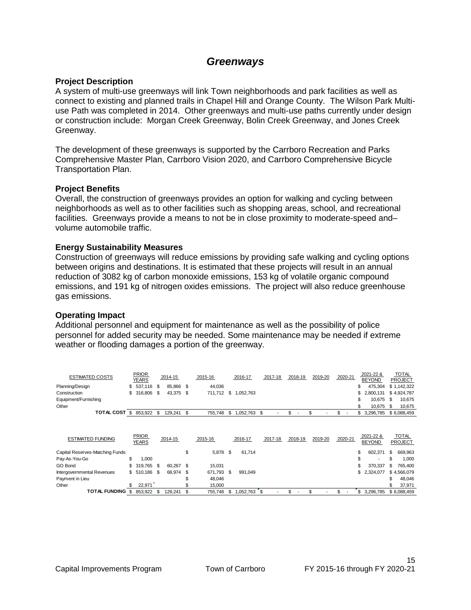#### *Greenways*

#### **Project Description**

A system of multi-use greenways will link Town neighborhoods and park facilities as well as connect to existing and planned trails in Chapel Hill and Orange County. The Wilson Park Multiuse Path was completed in 2014. Other greenways and multi-use paths currently under design or construction include: Morgan Creek Greenway, Bolin Creek Greenway, and Jones Creek Greenway.

The development of these greenways is supported by the Carrboro Recreation and Parks Comprehensive Master Plan, Carrboro Vision 2020, and Carrboro Comprehensive Bicycle Transportation Plan.

#### **Project Benefits**

Overall, the construction of greenways provides an option for walking and cycling between neighborhoods as well as to other facilities such as shopping areas, school, and recreational facilities. Greenways provide a means to not be in close proximity to moderate-speed and– volume automobile traffic.

#### **Energy Sustainability Measures**

Construction of greenways will reduce emissions by providing safe walking and cycling options between origins and destinations. It is estimated that these projects will result in an annual reduction of 3082 kg of carbon monoxide emissions, 153 kg of volatile organic compound emissions, and 191 kg of nitrogen oxides emissions. The project will also reduce greenhouse gas emissions.

#### **Operating Impact**

Additional personnel and equipment for maintenance as well as the possibility of police personnel for added security may be needed. Some maintenance may be needed if extreme weather or flooding damages a portion of the greenway.

| <b>ESTIMATED COSTS</b>          | <b>PRIOR</b><br><b>YEARS</b> | 2014-15       | 2015-16       | 2016-17         | 2017-18                 | 2018-19 | 2019-20 | 2020-21 | 2021-22 &<br><b>BEYOND</b> |    | <b>TOTAL</b><br><b>PROJECT</b> |
|---------------------------------|------------------------------|---------------|---------------|-----------------|-------------------------|---------|---------|---------|----------------------------|----|--------------------------------|
| Planning/Design                 | \$<br>537,116                | \$<br>85,866  | \$<br>44,036  |                 |                         |         |         |         | 475.304                    |    | \$1,142,322                    |
| Construction                    | \$<br>316,806                | \$<br>43,375  | \$<br>711,712 | \$<br>1,052,763 |                         |         |         |         | \$<br>2,800,131            |    | \$4,924,787                    |
| Equipment/Furnishing            |                              |               |               |                 |                         |         |         |         | 10,675<br>\$               | -S | 10,675                         |
| Other                           |                              |               |               |                 |                         |         |         |         | 10,675                     | S  | 10,675                         |
| <b>TOTAL COST \$ 853,922</b>    |                              | \$<br>129,241 | \$<br>755,748 | \$<br>1,052,763 | \$                      | \$      | \$      | \$      | \$<br>3,296,785            |    | \$6,088,459                    |
|                                 |                              |               |               |                 |                         |         |         |         |                            |    |                                |
| <b>ESTIMATED FUNDING</b>        | <b>PRIOR</b><br><b>YEARS</b> | 2014-15       | 2015-16       | 2016-17         | 2017-18                 | 2018-19 | 2019-20 | 2020-21 | 2021-22 &<br><b>BEYOND</b> |    | <b>TOTAL</b><br><b>PROJECT</b> |
| Capital Reserves-Matching Funds |                              |               | \$<br>5,878   | \$<br>61.714    |                         |         |         |         | \$<br>602,371              | \$ | 669,963                        |
| Pay-As-You-Go                   | \$<br>1,000                  |               |               |                 |                         |         |         |         | \$                         | \$ | 1,000                          |
| GO Bond                         | \$<br>319.765                | \$<br>60,267  | \$<br>15,031  |                 |                         |         |         |         | 370.337                    | \$ | 765,400                        |
| Intergovernmental Revenues      | \$ 510,186                   | \$<br>68,974  | \$<br>671,793 | \$<br>991,049   |                         |         |         |         | \$2,324,077                |    | \$4,566,079                    |
| Payment in Lieu                 |                              |               | \$<br>48,046  |                 |                         |         |         |         |                            | \$ | 48,046                         |
| Other                           | \$<br>22,971                 |               | 15,000        |                 | $\overline{\mathbf{s}}$ |         |         |         |                            |    | 37,971                         |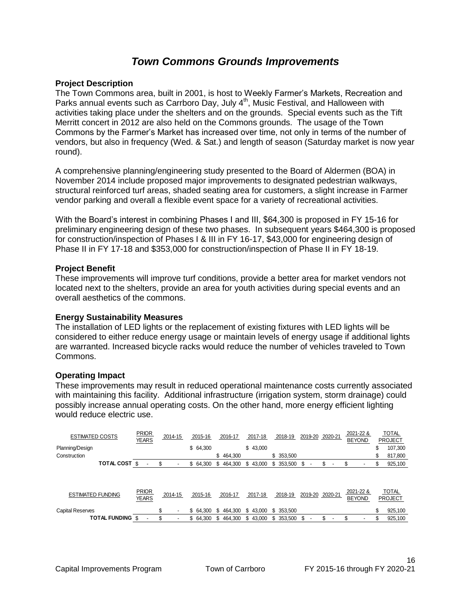### *Town Commons Grounds Improvements*

#### **Project Description**

The Town Commons area, built in 2001, is host to Weekly Farmer's Markets, Recreation and Parks annual events such as Carrboro Day, July 4<sup>th</sup>, Music Festival, and Halloween with activities taking place under the shelters and on the grounds. Special events such as the Tift Merritt concert in 2012 are also held on the Commons grounds. The usage of the Town Commons by the Farmer's Market has increased over time, not only in terms of the number of vendors, but also in frequency (Wed. & Sat.) and length of season (Saturday market is now year round).

A comprehensive planning/engineering study presented to the Board of Aldermen (BOA) in November 2014 include proposed major improvements to designated pedestrian walkways, structural reinforced turf areas, shaded seating area for customers, a slight increase in Farmer vendor parking and overall a flexible event space for a variety of recreational activities.

With the Board's interest in combining Phases I and III, \$64,300 is proposed in FY 15-16 for preliminary engineering design of these two phases. In subsequent years \$464,300 is proposed for construction/inspection of Phases I & III in FY 16-17, \$43,000 for engineering design of Phase II in FY 17-18 and \$353,000 for construction/inspection of Phase II in FY 18-19.

#### **Project Benefit**

These improvements will improve turf conditions, provide a better area for market vendors not located next to the shelters, provide an area for youth activities during special events and an overall aesthetics of the commons.

#### **Energy Sustainability Measures**

The installation of LED lights or the replacement of existing fixtures with LED lights will be considered to either reduce energy usage or maintain levels of energy usage if additional lights are warranted. Increased bicycle racks would reduce the number of vehicles traveled to Town Commons.

#### **Operating Impact**

These improvements may result in reduced operational maintenance costs currently associated with maintaining this facility. Additional infrastructure (irrigation system, storm drainage) could possibly increase annual operating costs. On the other hand, more energy efficient lighting would reduce electric use.

| <b>ESTIMATED COSTS</b>   |                      | <b>PRIOR</b><br><b>YEARS</b> | 2014-15 | 2015-16  | 2016-17       | 2017-18      | 2018-19       | 2019-20 | 2020-21 | 2021-22 &<br><b>BEYOND</b> |    | <b>TOTAL</b><br><b>PROJECT</b> |
|--------------------------|----------------------|------------------------------|---------|----------|---------------|--------------|---------------|---------|---------|----------------------------|----|--------------------------------|
| Planning/Design          |                      |                              |         | \$64,300 |               | \$43,000     |               |         |         |                            | C  | 107,300                        |
| Construction             |                      |                              |         |          | \$<br>464.300 |              | \$ 353,500    |         |         |                            | \$ | 817,800                        |
|                          | TOTAL COST \$        |                              |         | \$64,300 | \$<br>464.300 | \$<br>43.000 | 353,500<br>\$ | \$      |         |                            | \$ | 925,100                        |
| <b>ESTIMATED FUNDING</b> |                      | <b>PRIOR</b><br><b>YEARS</b> | 2014-15 | 2015-16  | 2016-17       | 2017-18      | 2018-19       | 2019-20 | 2020-21 | 2021-22 &<br><b>BEYOND</b> |    | <b>TOTAL</b><br><b>PROJECT</b> |
| <b>Capital Reserves</b>  |                      |                              | \$      | \$64,300 | 464.300<br>S. | \$<br>43.000 | \$ 353,500    |         |         |                            |    | 925,100                        |
|                          | <b>TOTAL FUNDING</b> | -S                           |         | \$64,300 | 464,300<br>\$ | \$43,000     | \$ 353,500    | \$      |         |                            |    | 925,100                        |
|                          |                      |                              |         |          |               |              |               |         |         |                            |    |                                |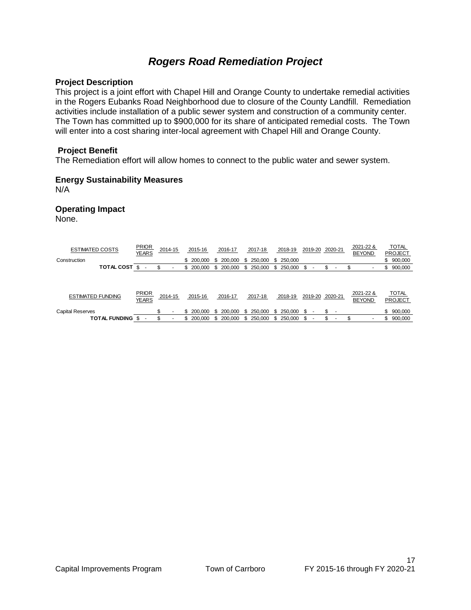### *Rogers Road Remediation Project*

#### **Project Description**

This project is a joint effort with Chapel Hill and Orange County to undertake remedial activities in the Rogers Eubanks Road Neighborhood due to closure of the County Landfill. Remediation activities include installation of a public sewer system and construction of a community center. The Town has committed up to \$900,000 for its share of anticipated remedial costs. The Town will enter into a cost sharing inter-local agreement with Chapel Hill and Orange County.

#### **Project Benefit**

The Remediation effort will allow homes to connect to the public water and sewer system.

#### **Energy Sustainability Measures**

N/A

#### **Operating Impact**

None.

| <b>ESTIMATED COSTS</b>   | PRIOR<br><b>YEARS</b>        | 2014-15                  | 2015-16        | 2016-17       | 2017-18        | 2018-19        | 2019-20 | 2020-21                  | 2021-22 &<br><b>BEYOND</b> | <b>TOTAL</b><br><b>PROJECT</b> |
|--------------------------|------------------------------|--------------------------|----------------|---------------|----------------|----------------|---------|--------------------------|----------------------------|--------------------------------|
| Construction             |                              |                          | 200.000<br>\$. | 200,000<br>\$ | 250.000<br>S.  | \$ 250,000     |         |                          |                            | \$900,000                      |
| <b>TOTAL COST</b>        |                              | $\overline{\phantom{a}}$ | 200,000<br>S.  | 200,000       | 250,000<br>\$  | \$250,000      |         | $\overline{\phantom{a}}$ | $\overline{\phantom{a}}$   | 900,000<br>\$                  |
|                          |                              |                          |                |               |                |                |         |                          |                            |                                |
| <b>ESTIMATED FUNDING</b> | <b>PRIOR</b><br><b>YEARS</b> | 2014-15                  | 2015-16        | 2016-17       | 2017-18        | 2018-19        |         | 2019-20 2020-21          | 2021-22 &<br><b>BEYOND</b> | <b>TOTAL</b><br><b>PROJECT</b> |
| <b>Capital Reserves</b>  |                              | $\overline{\phantom{a}}$ | S<br>200,000   | 200,000       | 250.000<br>\$. | 250.000<br>\$. |         | $\overline{\phantom{a}}$ |                            | \$900,000                      |
| <b>TOTAL FUNDING</b>     | - \$                         | $\overline{\phantom{a}}$ | 200,000        | 200.000       | 250.000        | 250,000<br>\$. |         | $\overline{\phantom{a}}$ |                            | 900,000                        |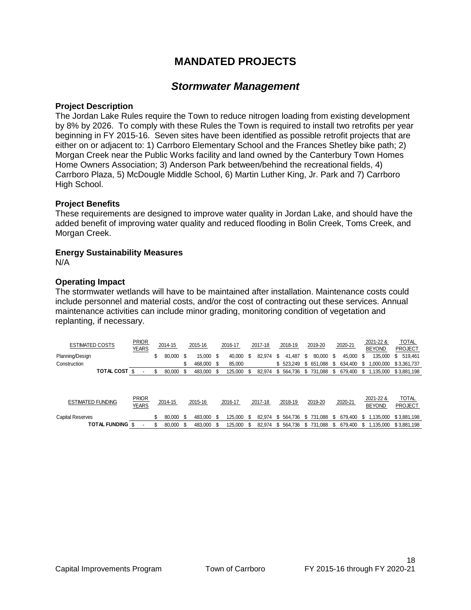## **MANDATED PROJECTS**

### *Stormwater Management*

#### **Project Description**

The Jordan Lake Rules require the Town to reduce nitrogen loading from existing development by 8% by 2026. To comply with these Rules the Town is required to install two retrofits per year beginning in FY 2015-16. Seven sites have been identified as possible retrofit projects that are either on or adjacent to: 1) Carrboro Elementary School and the Frances Shetley bike path; 2) Morgan Creek near the Public Works facility and land owned by the Canterbury Town Homes Home Owners Association; 3) Anderson Park between/behind the recreational fields, 4) Carrboro Plaza, 5) McDougle Middle School, 6) Martin Luther King, Jr. Park and 7) Carrboro High School.

#### **Project Benefits**

These requirements are designed to improve water quality in Jordan Lake, and should have the added benefit of improving water quality and reduced flooding in Bolin Creek, Toms Creek, and Morgan Creek.

#### **Energy Sustainability Measures**

N/A

#### **Operating Impact**

The stormwater wetlands will have to be maintained after installation. Maintenance costs could include personnel and material costs, and/or the cost of contracting out these services. Annual maintenance activities can include minor grading, monitoring condition of vegetation and replanting, if necessary.

| <b>ESTIMATED COSTS</b>   | PRIOR<br><b>YEARS</b>        | 2014-15 |        | 2015-16       |      | 2016-17 |    | 2017-18 | 2018-19      | 2019-20        |    | 2020-21 | 2021-22 &<br><b>BEYOND</b> | <b>TOTAL</b><br><b>PROJECT</b> |
|--------------------------|------------------------------|---------|--------|---------------|------|---------|----|---------|--------------|----------------|----|---------|----------------------------|--------------------------------|
| Planning/Design          |                              | C       | 80,000 | 15,000<br>-S  | - \$ | 40,000  | -S | 82.974  | S<br>41.487  | 80,000 \$<br>S |    | 45,000  | 135,000<br>S               | 519,461<br>S                   |
| Construction             |                              |         |        | \$<br>468.000 | - \$ | 85.000  |    |         | 523.249<br>S | 651.088<br>S.  | S. | 634.400 | S<br>.000.000              | \$3,361,737                    |
| TOTAL COST \$            |                              |         | 80,000 | 483,000       |      | 125,000 |    | 82.974  | 564,736<br>S | 731,088<br>S.  | -S | 679,400 | - \$<br>135,000            | \$3,881,198                    |
|                          |                              |         |        |               |      |         |    |         |              |                |    |         |                            |                                |
| <b>ESTIMATED FUNDING</b> | <b>PRIOR</b><br><b>YEARS</b> | 2014-15 |        | 2015-16       |      | 2016-17 |    | 2017-18 | 2018-19      | 2019-20        |    | 2020-21 | 2021-22 &<br><b>BEYOND</b> | <b>TOTAL</b><br><b>PROJECT</b> |
| <b>Capital Reserves</b>  |                              | \$      | 80.000 | 483.000<br>-S | -S   | 125.000 |    | 82.974  | 564.736<br>S | 731.088<br>S.  | Ж, | 679.400 | .135.000<br>S              | \$3.881.198                    |
| <b>TOTAL FUNDING \$</b>  | $\overline{\phantom{a}}$     |         | 80,000 | 483.000       |      | 125.000 |    | 82.974  | 564,736<br>S | 731.088<br>S.  |    | 679.400 | 1.135.000<br>- \$          | \$3,881,198                    |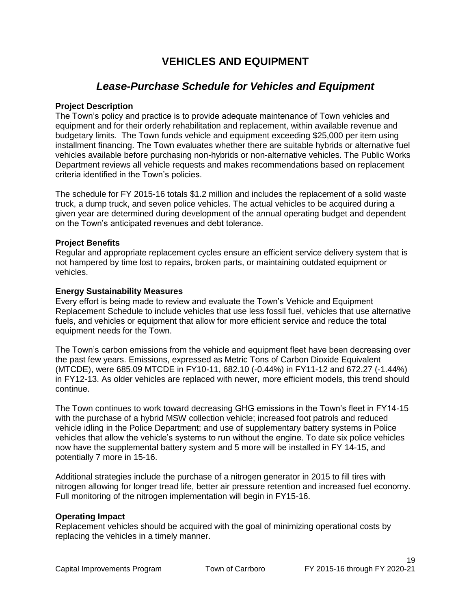## **VEHICLES AND EQUIPMENT**

## *Lease-Purchase Schedule for Vehicles and Equipment*

#### **Project Description**

The Town's policy and practice is to provide adequate maintenance of Town vehicles and equipment and for their orderly rehabilitation and replacement, within available revenue and budgetary limits. The Town funds vehicle and equipment exceeding \$25,000 per item using installment financing. The Town evaluates whether there are suitable hybrids or alternative fuel vehicles available before purchasing non-hybrids or non-alternative vehicles. The Public Works Department reviews all vehicle requests and makes recommendations based on replacement criteria identified in the Town's policies.

The schedule for FY 2015-16 totals \$1.2 million and includes the replacement of a solid waste truck, a dump truck, and seven police vehicles. The actual vehicles to be acquired during a given year are determined during development of the annual operating budget and dependent on the Town's anticipated revenues and debt tolerance.

#### **Project Benefits**

Regular and appropriate replacement cycles ensure an efficient service delivery system that is not hampered by time lost to repairs, broken parts, or maintaining outdated equipment or vehicles.

#### **Energy Sustainability Measures**

Every effort is being made to review and evaluate the Town's Vehicle and Equipment Replacement Schedule to include vehicles that use less fossil fuel, vehicles that use alternative fuels, and vehicles or equipment that allow for more efficient service and reduce the total equipment needs for the Town.

The Town's carbon emissions from the vehicle and equipment fleet have been decreasing over the past few years. Emissions, expressed as Metric Tons of Carbon Dioxide Equivalent (MTCDE), were 685.09 MTCDE in FY10-11, 682.10 (-0.44%) in FY11-12 and 672.27 (-1.44%) in FY12-13. As older vehicles are replaced with newer, more efficient models, this trend should continue.

The Town continues to work toward decreasing GHG emissions in the Town's fleet in FY14-15 with the purchase of a hybrid MSW collection vehicle; increased foot patrols and reduced vehicle idling in the Police Department; and use of supplementary battery systems in Police vehicles that allow the vehicle's systems to run without the engine. To date six police vehicles now have the supplemental battery system and 5 more will be installed in FY 14-15, and potentially 7 more in 15-16.

Additional strategies include the purchase of a nitrogen generator in 2015 to fill tires with nitrogen allowing for longer tread life, better air pressure retention and increased fuel economy. Full monitoring of the nitrogen implementation will begin in FY15-16.

#### **Operating Impact**

Replacement vehicles should be acquired with the goal of minimizing operational costs by replacing the vehicles in a timely manner.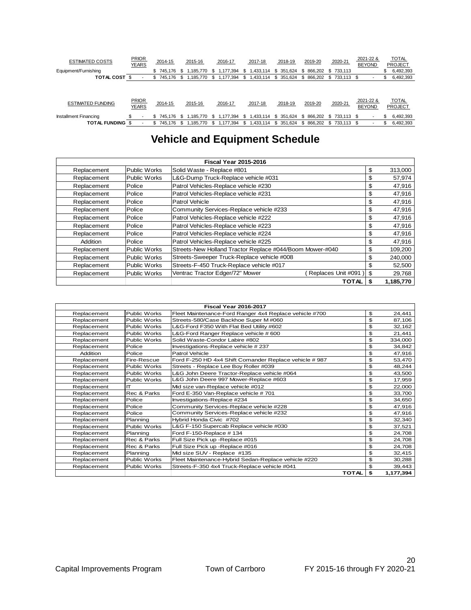| <b>ESTIMATED COSTS</b>   | <b>PRIOR</b><br><b>YEARS</b> |                          | 2014-15   |                 | 2015-16   |     | 2016-17   |    | 2017-18              |      | 2018-19   |     | 2019-20               |  | 2020-21       | 2021-22 &<br><b>BEYOND</b> |                            | TOTAL<br><b>PROJECT</b> |                                |
|--------------------------|------------------------------|--------------------------|-----------|-----------------|-----------|-----|-----------|----|----------------------|------|-----------|-----|-----------------------|--|---------------|----------------------------|----------------------------|-------------------------|--------------------------------|
| Equipment/Furnishing     |                              |                          | \$745.176 | .185.770<br>-SS |           | \$. | .177.394  |    | .433.114<br>\$.      |      | \$351.624 |     | \$ 866,202 \$ 733,113 |  |               |                            |                            |                         | 6,492,393                      |
| TOTAL COST               |                              | $\overline{\phantom{a}}$ | 745.176   | S.              | 1.185.770 | \$  | 1.177.394 | S  | 1,433,114 \$ 351,624 |      |           | \$  | 866,202 \$ 733,113 \$ |  |               |                            |                            |                         | 6,492,393                      |
|                          |                              |                          |           |                 |           |     |           |    |                      |      |           |     |                       |  |               |                            |                            |                         |                                |
| <b>ESTIMATED FUNDING</b> | <b>PRIOR</b><br><b>YEARS</b> |                          | 2014-15   |                 | 2015-16   |     | 2016-17   |    | 2017-18              |      | 2018-19   |     | 2019-20               |  | 2020-21       |                            | 2021-22 &<br><b>BEYOND</b> |                         | <b>TOTAL</b><br><b>PROJECT</b> |
| Installment Financing    |                              |                          | 745.176   |                 | .185.770  | \$. | .177.394  | S  | .433.114             | - \$ | 351.624   | \$. | 866.202               |  | \$733.113 \$  |                            |                            |                         | 6,492,393                      |
| <b>TOTAL FUNDING</b>     |                              |                          | 745.176   |                 | .185.770  |     | .177.394  | S. | 1.433.114            | \$   | 351.624   | \$. | 866.202               |  | $$733.113$ \$ |                            |                            |                         | 6,492,393                      |

# **Vehicle and Equipment Schedule**

|             |                     | <b>Fiscal Year 2015-2016</b>                             |                 |
|-------------|---------------------|----------------------------------------------------------|-----------------|
| Replacement | <b>Public Works</b> | Solid Waste - Replace #801                               | \$<br>313,000   |
| Replacement | <b>Public Works</b> | L&G-Dump Truck-Replace vehicle #031                      | \$<br>57,974    |
| Replacement | Police              | Patrol Vehicles-Replace vehicle #230                     | \$<br>47,916    |
| Replacement | Police              | Patrol Vehicles-Replace vehicle #231                     | \$<br>47,916    |
| Replacement | Police              | Patrol Vehicle                                           | \$<br>47,916    |
| Replacement | Police              | Community Services-Replace vehicle #233                  | \$<br>47,916    |
| Replacement | Police              | Patrol Vehicles-Replace vehicle #222                     | \$<br>47,916    |
| Replacement | Police              | Patrol Vehicles-Replace vehicle #223                     | \$<br>47,916    |
| Replacement | Police              | Patrol Vehicles-Replace vehicle #224                     | \$<br>47,916    |
| Addition    | Police              | Patrol Vehicles-Replace vehicle #225                     | \$<br>47,916    |
| Replacement | Public Works        | Streets-New Holland Tractor Replace #044/Boom Mower-#040 | \$<br>109,200   |
| Replacement | <b>Public Works</b> | Streets-Sweeper Truck-Replace vehicle #008               | \$<br>240,000   |
| Replacement | <b>Public Works</b> | Streets-F-450 Truck-Replace vehicle #017                 | \$<br>52,500    |
| Replacement | <b>Public Works</b> | Replaces Unit #091<br>Ventrac Tractor Edger/72" Mower    | \$<br>29,768    |
|             |                     | <b>TOTAL</b>                                             | \$<br>1,185,770 |

|             |                     | <b>Fiscal Year 2016-2017</b>                           |                 |
|-------------|---------------------|--------------------------------------------------------|-----------------|
| Replacement | <b>Public Works</b> | Fleet Maintenance-Ford Ranger 4x4 Replace vehicle #700 | \$<br>24,441    |
| Replacement | <b>Public Works</b> | Streets-580/Case Backhoe Super M #060                  | \$<br>87,106    |
| Replacement | <b>Public Works</b> | L&G-Ford F350 With Flat Bed Utility #602               | \$<br>32,162    |
| Replacement | <b>Public Works</b> | L&G-Ford Ranger Replace vehicle # 600                  | \$<br>21,441    |
| Replacement | <b>Public Works</b> | Solid Waste-Condor Labire #802                         | \$<br>334,000   |
| Replacement | Police              | Investigations-Replace vehicle #237                    | \$<br>34,842    |
| Addition    | Police              | Patrol Vehicle                                         | \$<br>47,916    |
| Replacement | Fire-Rescue         | Ford F-250 HD 4x4 Shift Comander Replace vehicle # 987 | \$<br>53,470    |
| Replacement | <b>Public Works</b> | Streets - Replace Lee Boy Roller #039                  | \$<br>48,244    |
| Replacement | Public Works        | L&G John Deere Tractor-Replace vehicle #064            | \$<br>43,500    |
| Replacement | <b>Public Works</b> | L&G John Deere 997 Mower-Replace #603                  | \$<br>17,959    |
| Replacement | ıΤ                  | Mid size van-Replace vehicle #012                      | \$<br>22,000    |
| Replacement | Rec & Parks         | Ford E-350 Van-Replace vehicle #701                    | \$<br>33,700    |
| Replacement | Police              | Investigations-Replace #234                            | \$<br>34,650    |
| Replacement | Police              | Community Services-Replace vehicle #228                | \$<br>47,916    |
| Replacement | Police              | Community Services-Replace vehicle #232                | \$<br>47,916    |
| Replacement | Planning            | Hybrid Honda Civic #702                                | \$<br>32,340    |
| Replacement | Public Works        | L&G F-150 Supercab Replace vehicle #030                | \$<br>37,521    |
| Replacement | Planning            | Ford F-150-Replace #134                                | \$<br>24,708    |
| Replacement | Rec & Parks         | Full Size Pick up - Replace #015                       | \$<br>24,708    |
| Replacement | Rec & Parks         | Full Size Pick up - Replace #016                       | \$<br>24,708    |
| Replacement | Planning            | Mid size SUV - Replace #135                            | \$<br>32,415    |
| Replacement | Public Works        | Fleet Maintenance-Hybrid Sedan-Replace vehicle #220    | \$<br>30,288    |
| Replacement | <b>Public Works</b> | Streets-F-350 4x4 Truck-Replace vehicle #041           | \$<br>39,443    |
|             |                     | <b>TOTAL</b>                                           | \$<br>1,177,394 |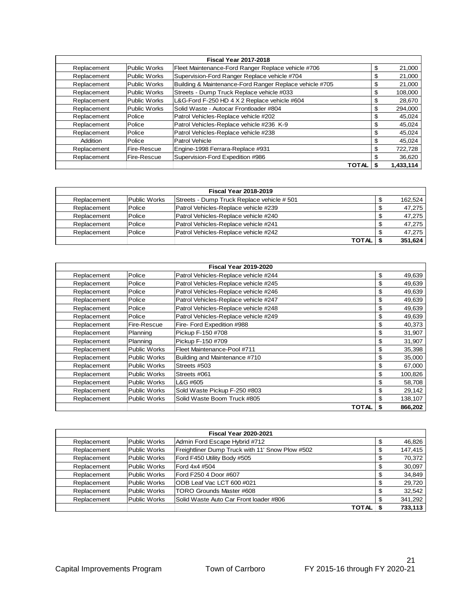|             | <b>Fiscal Year 2017-2018</b> |                                                         |     |           |  |  |  |  |  |  |  |
|-------------|------------------------------|---------------------------------------------------------|-----|-----------|--|--|--|--|--|--|--|
| Replacement | <b>Public Works</b>          | Fleet Maintenance-Ford Ranger Replace vehicle #706      | \$  | 21,000    |  |  |  |  |  |  |  |
| Replacement | <b>Public Works</b>          | Supervision-Ford Ranger Replace vehicle #704            | \$  | 21,000    |  |  |  |  |  |  |  |
| Replacement | Public Works                 | Building & Maintenance-Ford Ranger Replace vehicle #705 | \$  | 21,000    |  |  |  |  |  |  |  |
| Replacement | <b>Public Works</b>          | Streets - Dump Truck Replace vehicle #033               | \$. | 108,000   |  |  |  |  |  |  |  |
| Replacement | <b>Public Works</b>          | L&G-Ford F-250 HD 4 X 2 Replace vehicle #604            | \$  | 28,670    |  |  |  |  |  |  |  |
| Replacement | Public Works                 | Solid Waste - Autocar Frontloader #804                  | \$  | 294,000   |  |  |  |  |  |  |  |
| Replacement | Police                       | Patrol Vehicles-Replace vehicle #202                    | \$  | 45,024    |  |  |  |  |  |  |  |
| Replacement | Police                       | Patrol Vehicles-Replace vehicle #236 K-9                | \$  | 45,024    |  |  |  |  |  |  |  |
| Replacement | Police                       | Patrol Vehicles-Replace vehicle #238                    | \$  | 45,024    |  |  |  |  |  |  |  |
| Addition    | Police                       | Patrol Vehicle                                          | \$  | 45,024    |  |  |  |  |  |  |  |
| Replacement | Fire-Rescue                  | Engine-1998 Ferrara-Replace #931                        | \$  | 722,728   |  |  |  |  |  |  |  |
| Replacement | Fire-Rescue                  | Supervision-Ford Expedition #986                        | \$. | 36,620    |  |  |  |  |  |  |  |
|             |                              | <b>TOTAL</b>                                            |     | 1,433,114 |  |  |  |  |  |  |  |

|             | <b>Fiscal Year 2018-2019</b> |                                            |              |  |         |  |  |  |  |  |
|-------------|------------------------------|--------------------------------------------|--------------|--|---------|--|--|--|--|--|
| Replacement | Public Works                 | Streets - Dump Truck Replace vehicle # 501 |              |  | 162.524 |  |  |  |  |  |
| Replacement | Police                       | Patrol Vehicles-Replace vehicle #239       |              |  | 47,275  |  |  |  |  |  |
| Replacement | Police                       | Patrol Vehicles-Replace vehicle #240       |              |  | 47,275  |  |  |  |  |  |
| Replacement | Police                       | Patrol Vehicles-Replace vehicle #241       |              |  | 47,275  |  |  |  |  |  |
| Replacement | Police                       | Patrol Vehicles-Replace vehicle #242       |              |  | 47,275  |  |  |  |  |  |
|             |                              |                                            | <b>TOTAL</b> |  | 351.624 |  |  |  |  |  |

|             | <b>Fiscal Year 2019-2020</b> |                                      |    |         |  |  |  |  |  |  |
|-------------|------------------------------|--------------------------------------|----|---------|--|--|--|--|--|--|
| Replacement | Police                       | Patrol Vehicles-Replace vehicle #244 | \$ | 49,639  |  |  |  |  |  |  |
| Replacement | Police                       | Patrol Vehicles-Replace vehicle #245 | \$ | 49,639  |  |  |  |  |  |  |
| Replacement | Police                       | Patrol Vehicles-Replace vehicle #246 | \$ | 49,639  |  |  |  |  |  |  |
| Replacement | Police                       | Patrol Vehicles-Replace vehicle #247 | \$ | 49,639  |  |  |  |  |  |  |
| Replacement | Police                       | Patrol Vehicles-Replace vehicle #248 | \$ | 49,639  |  |  |  |  |  |  |
| Replacement | Police                       | Patrol Vehicles-Replace vehicle #249 | \$ | 49,639  |  |  |  |  |  |  |
| Replacement | Fire-Rescue                  | Fire- Ford Expedition #988           | \$ | 40,373  |  |  |  |  |  |  |
| Replacement | Planning                     | Pickup F-150 #708                    | \$ | 31,907  |  |  |  |  |  |  |
| Replacement | Planning                     | Pickup F-150 #709                    | \$ | 31,907  |  |  |  |  |  |  |
| Replacement | Public Works                 | Fleet Maintenance-Pool #711          | \$ | 35,398  |  |  |  |  |  |  |
| Replacement | <b>Public Works</b>          | Building and Maintenance #710        | \$ | 35,000  |  |  |  |  |  |  |
| Replacement | <b>Public Works</b>          | Streets #503                         | \$ | 67,000  |  |  |  |  |  |  |
| Replacement | <b>Public Works</b>          | Streets #061                         | \$ | 100,826 |  |  |  |  |  |  |
| Replacement | Public Works                 | L&G #605                             | \$ | 58,708  |  |  |  |  |  |  |
| Replacement | <b>Public Works</b>          | Sold Waste Pickup F-250 #803         | \$ | 29,142  |  |  |  |  |  |  |
| Replacement | Public Works                 | Solid Waste Boom Truck #805          | \$ | 138,107 |  |  |  |  |  |  |
|             |                              | <b>TOTAL</b>                         | \$ | 866,202 |  |  |  |  |  |  |

|             | <b>Fiscal Year 2020-2021</b> |                                                 |   |         |  |  |  |  |  |  |
|-------------|------------------------------|-------------------------------------------------|---|---------|--|--|--|--|--|--|
| Replacement | <b>Public Works</b>          | Admin Ford Escape Hybrid #712                   |   | 46,826  |  |  |  |  |  |  |
| Replacement | <b>Public Works</b>          | Freightliner Dump Truck with 11' Snow Plow #502 |   | 147,415 |  |  |  |  |  |  |
| Replacement | <b>Public Works</b>          | Ford F450 Utility Body #505                     | S | 70,372  |  |  |  |  |  |  |
| Replacement | <b>Public Works</b>          | Ford 4x4 #504                                   |   | 30,097  |  |  |  |  |  |  |
| Replacement | <b>Public Works</b>          | Ford F250 4 Door #607                           |   | 34,849  |  |  |  |  |  |  |
| Replacement | <b>Public Works</b>          | <b>ODB Leaf Vac LCT 600 #021</b>                |   | 29,720  |  |  |  |  |  |  |
| Replacement | <b>Public Works</b>          | TORO Grounds Master #608                        |   | 32,542  |  |  |  |  |  |  |
| Replacement | <b>Public Works</b>          | Solid Waste Auto Car Front loader #806          |   | 341,292 |  |  |  |  |  |  |
|             |                              | <b>TOTAL</b>                                    |   | 733,113 |  |  |  |  |  |  |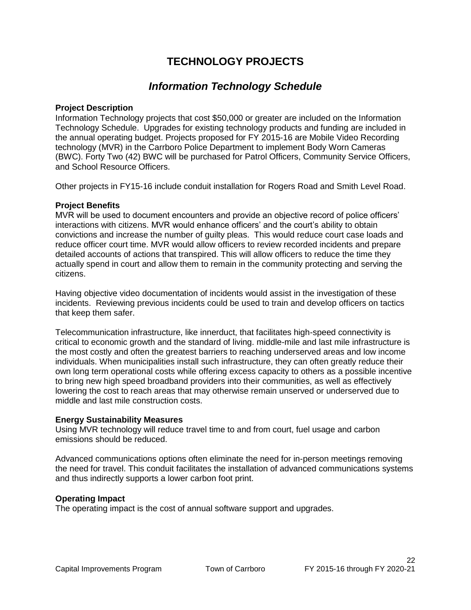# **TECHNOLOGY PROJECTS**

### *Information Technology Schedule*

#### **Project Description**

Information Technology projects that cost \$50,000 or greater are included on the Information Technology Schedule. Upgrades for existing technology products and funding are included in the annual operating budget. Projects proposed for FY 2015-16 are Mobile Video Recording technology (MVR) in the Carrboro Police Department to implement Body Worn Cameras (BWC). Forty Two (42) BWC will be purchased for Patrol Officers, Community Service Officers, and School Resource Officers.

Other projects in FY15-16 include conduit installation for Rogers Road and Smith Level Road.

#### **Project Benefits**

MVR will be used to document encounters and provide an objective record of police officers' interactions with citizens. MVR would enhance officers' and the court's ability to obtain convictions and increase the number of guilty pleas. This would reduce court case loads and reduce officer court time. MVR would allow officers to review recorded incidents and prepare detailed accounts of actions that transpired. This will allow officers to reduce the time they actually spend in court and allow them to remain in the community protecting and serving the citizens.

Having objective video documentation of incidents would assist in the investigation of these incidents. Reviewing previous incidents could be used to train and develop officers on tactics that keep them safer.

Telecommunication infrastructure, like innerduct, that facilitates high-speed connectivity is critical to economic growth and the standard of living. middle-mile and last mile infrastructure is the most costly and often the greatest barriers to reaching underserved areas and low income individuals. When municipalities install such infrastructure, they can often greatly reduce their own long term operational costs while offering excess capacity to others as a possible incentive to bring new high speed broadband providers into their communities, as well as effectively lowering the cost to reach areas that may otherwise remain unserved or underserved due to middle and last mile construction costs.

#### **Energy Sustainability Measures**

Using MVR technology will reduce travel time to and from court, fuel usage and carbon emissions should be reduced.

Advanced communications options often eliminate the need for in-person meetings removing the need for travel. This conduit facilitates the installation of advanced communications systems and thus indirectly supports a lower carbon foot print.

#### **Operating Impact**

The operating impact is the cost of annual software support and upgrades.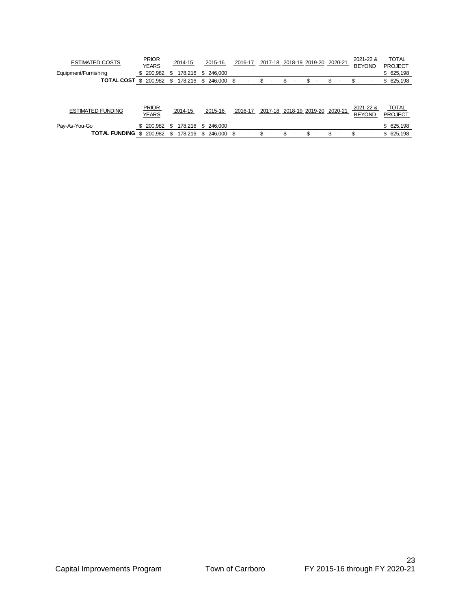| <b>ESTIMATED COSTS</b> | <b>PRIOR</b> |     | 2014-15 | 2015-16 | 2016-17 | 2017-18                  | 2018-19 2019-20          |  | 2020-21 | 2021-22 &                | <b>TOTAL</b>   |
|------------------------|--------------|-----|---------|---------|---------|--------------------------|--------------------------|--|---------|--------------------------|----------------|
|                        | <b>YEARS</b> |     |         |         |         |                          |                          |  |         | <b>BEYOND</b>            | <b>PROJECT</b> |
| Equipment/Furnishing   | 200.982      | \$. | 178.216 | 246,000 |         |                          |                          |  |         |                          | \$625.198      |
| <b>TOTAL COST</b>      | 200.982      |     | 178.216 | 246.000 | $\sim$  | $\overline{\phantom{a}}$ | $\overline{\phantom{a}}$ |  |         | $\overline{\phantom{0}}$ | 625.198        |
|                        |              |     |         |         |         |                          |                          |  |         |                          |                |

| <b>ESTIMATED FUNDING</b>                                        | <u>PRIOR</u><br><b>YEARS</b> | 2014-15 | 2015-16            | 2016-17 |  | 2017-18 2018-19 2019-20 2020-21 |  | 2021-22 &<br><b>BEYOND</b> | <b>TOTAL</b><br><b>PROJECT</b> |
|-----------------------------------------------------------------|------------------------------|---------|--------------------|---------|--|---------------------------------|--|----------------------------|--------------------------------|
| Pav-As-You-Go                                                   | $$200.982$ \$                |         | 178.216 \$ 246.000 |         |  |                                 |  |                            | \$625,198                      |
| <b>TOTAL FUNDING</b> \$ 200,982 \$ 178,216 \$ 246,000 \$ - \$ - |                              |         |                    |         |  | $S - S - S -$                   |  | $\sim$                     | \$ 625.198                     |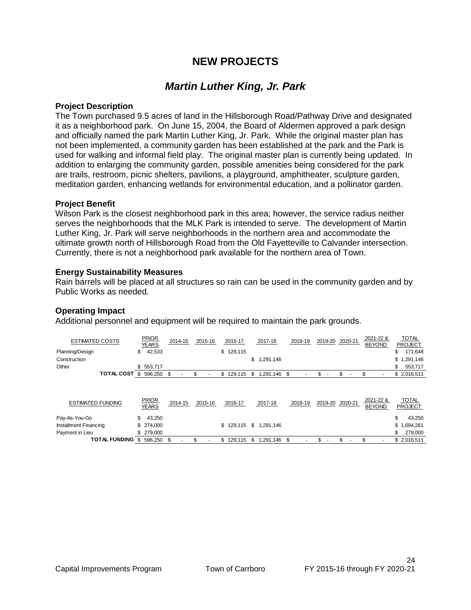### **NEW PROJECTS**

## *Martin Luther King, Jr. Park*

#### **Project Description**

The Town purchased 9.5 acres of land in the Hillsborough Road/Pathway Drive and designated it as a neighborhood park. On June 15, 2004, the Board of Aldermen approved a park design and officially named the park Martin Luther King, Jr. Park. While the original master plan has not been implemented, a community garden has been established at the park and the Park is used for walking and informal field play. The original master plan is currently being updated. In addition to enlarging the community garden, possible amenities being considered for the park are trails, restroom, picnic shelters, pavilions, a playground, amphitheater, sculpture garden, meditation garden, enhancing wetlands for environmental education, and a pollinator garden.

#### **Project Benefit**

Wilson Park is the closest neighborhood park in this area; however, the service radius neither serves the neighborhoods that the MLK Park is intended to serve. The development of Martin Luther King, Jr. Park will serve neighborhoods in the northern area and accommodate the ultimate growth north of Hillsborough Road from the Old Fayetteville to Calvander intersection. Currently, there is not a neighborhood park available for the northern area of Town.

#### **Energy Sustainability Measures**

Rain barrels will be placed at all structures so rain can be used in the community garden and by Public Works as needed.

#### **Operating Impact**

Additional personnel and equipment will be required to maintain the park grounds.

| <b>ESTIMATED COSTS</b>   |                                 | <b>PRIOR</b><br><b>YEARS</b> | 2014-15 | 2015-16 | 2016-17   | 2017-18              | 2018-19 | 2019-20 2020-21 | 2021-22 &<br><b>BEYOND</b> | <b>TOTAL</b><br><b>PROJECT</b> |
|--------------------------|---------------------------------|------------------------------|---------|---------|-----------|----------------------|---------|-----------------|----------------------------|--------------------------------|
| Planning/Design          |                                 | 42,533<br>SS.                |         |         | \$129,115 |                      |         |                 |                            | 171,648<br>\$                  |
| Construction             |                                 |                              |         |         |           | \$1,291,146          |         |                 |                            | \$1,291,146                    |
| Other                    |                                 | \$553.717                    |         |         |           |                      |         |                 |                            | 553,717<br>\$                  |
|                          | <b>TOTAL COST \$ 596,250 \$</b> |                              | ٠       |         | \$129,115 | 1,291,146 \$<br>- \$ | ۰       |                 | $\overline{\phantom{a}}$   | \$2,016,511                    |
|                          |                                 |                              |         |         |           |                      |         |                 |                            |                                |
| <b>ESTIMATED FUNDING</b> |                                 | <b>PRIOR</b><br>YEARS        | 2014-15 | 2015-16 | 2016-17   | 2017-18              | 2018-19 | 2019-20 2020-21 | 2021-22 &<br><b>BEYOND</b> | <b>TOTAL</b><br><b>PROJECT</b> |

| ESTIMATED FUNDING            | <b>YEARS</b> | <b>2014-19</b> | 2013-10 |                          | $2010 - 11$ | $2011 - 10$                | <b>ZUIO-19</b> | ZUIY-ZU ZUZU-ZI |  | <b>BEYOND</b> |  | <b>PROJECT</b> |  |
|------------------------------|--------------|----------------|---------|--------------------------|-------------|----------------------------|----------------|-----------------|--|---------------|--|----------------|--|
| Pay-As-You-Go                | 43.250       |                |         |                          |             |                            |                |                 |  |               |  | 43.250         |  |
| <b>Installment Financing</b> | \$ 274,000   |                |         |                          |             | \$ 129,115 \$ 1,291,146    |                |                 |  |               |  | \$1,694,261    |  |
| Payment in Lieu              | \$279,000    |                |         |                          |             |                            |                |                 |  |               |  | 279.000        |  |
| <b>TOTAL FUNDING</b>         | 596.250      |                |         | $\overline{\phantom{a}}$ |             | $$129,115$ \$ 1,291,146 \$ | ٠              |                 |  |               |  | \$2.016.511    |  |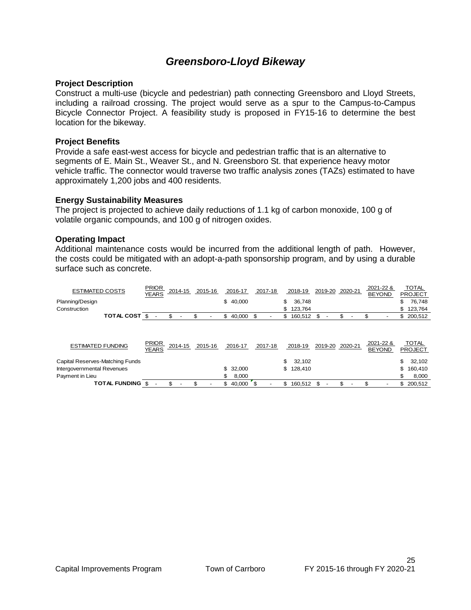### *Greensboro-Lloyd Bikeway*

#### **Project Description**

Construct a multi-use (bicycle and pedestrian) path connecting Greensboro and Lloyd Streets, including a railroad crossing. The project would serve as a spur to the Campus-to-Campus Bicycle Connector Project. A feasibility study is proposed in FY15-16 to determine the best location for the bikeway.

#### **Project Benefits**

Provide a safe east-west access for bicycle and pedestrian traffic that is an alternative to segments of E. Main St., Weaver St., and N. Greensboro St. that experience heavy motor vehicle traffic. The connector would traverse two traffic analysis zones (TAZs) estimated to have approximately 1,200 jobs and 400 residents.

#### **Energy Sustainability Measures**

The project is projected to achieve daily reductions of 1.1 kg of carbon monoxide, 100 g of volatile organic compounds, and 100 g of nitrogen oxides.

#### **Operating Impact**

Additional maintenance costs would be incurred from the additional length of path. However, the costs could be mitigated with an adopt-a-path sponsorship program, and by using a durable surface such as concrete.

| <b>ESTIMATED COSTS</b>          | <b>PRIOR</b><br><b>YEARS</b> | 2014-15 | 2015-16 | 2016-17       | 2017-18 | 2018-19       | 2019-20 | 2020-21 | 2021-22 &<br><b>BEYOND</b>    | <b>TOTAL</b><br><b>PROJECT</b> |
|---------------------------------|------------------------------|---------|---------|---------------|---------|---------------|---------|---------|-------------------------------|--------------------------------|
| Planning/Design                 |                              |         |         | \$40,000      |         | \$<br>36,748  |         |         |                               | 76,748<br>\$.                  |
| Construction                    |                              |         |         |               |         | \$<br>123,764 |         |         |                               | 123,764<br>\$                  |
| TOTAL COST \$                   |                              |         | \$      | 40,000<br>\$  | - \$    | 160,512<br>\$ |         | \$      | S<br>$\overline{\phantom{0}}$ | \$200,512                      |
|                                 | <b>PRIOR</b>                 |         |         |               |         |               |         |         | 2021-22 &                     | <b>TOTAL</b>                   |
| <b>ESTIMATED FUNDING</b>        | <b>YEARS</b>                 | 2014-15 | 2015-16 | 2016-17       | 2017-18 | 2018-19       | 2019-20 | 2020-21 | <b>BEYOND</b>                 | <b>PROJECT</b>                 |
| Capital Reserves-Matching Funds |                              |         |         |               |         | \$<br>32,102  |         |         |                               | 32,102<br>\$                   |
| Intergovernmental Revenues      |                              |         |         | \$32,000      |         | \$128,410     |         |         |                               | \$<br>160,410                  |
| Payment in Lieu                 |                              |         |         | \$<br>8,000   |         |               |         |         |                               | \$<br>8,000                    |
| <b>TOTAL FUNDING</b>            | \$                           |         |         | \$.<br>40,000 |         | \$<br>160,512 |         |         |                               | \$<br>200,512                  |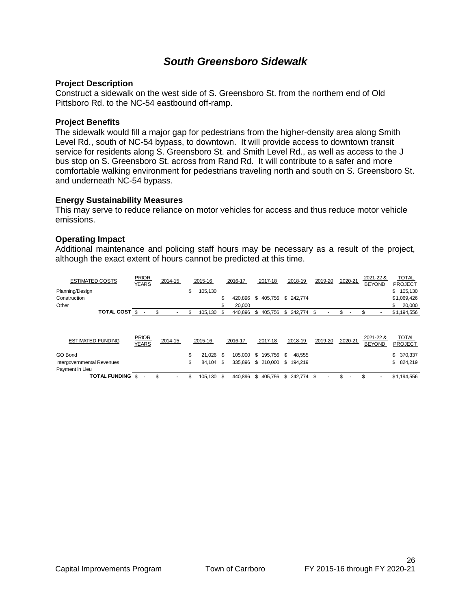### *South Greensboro Sidewalk*

#### **Project Description**

Construct a sidewalk on the west side of S. Greensboro St. from the northern end of Old Pittsboro Rd. to the NC-54 eastbound off-ramp.

#### **Project Benefits**

The sidewalk would fill a major gap for pedestrians from the higher-density area along Smith Level Rd., south of NC-54 bypass, to downtown. It will provide access to downtown transit service for residents along S. Greensboro St. and Smith Level Rd., as well as access to the J bus stop on S. Greensboro St. across from Rand Rd. It will contribute to a safer and more comfortable walking environment for pedestrians traveling north and south on S. Greensboro St. and underneath NC-54 bypass.

#### **Energy Sustainability Measures**

This may serve to reduce reliance on motor vehicles for access and thus reduce motor vehicle emissions.

#### **Operating Impact**

Additional maintenance and policing staff hours may be necessary as a result of the project, although the exact extent of hours cannot be predicted at this time.

| <b>ESTIMATED COSTS</b>     |                         | <b>PRIOR</b><br><b>YEARS</b> | 2014-15 | 2015-16         |      | 2016-17 | 2017-18       |    | 2018-19   | 2019-20 | 2020-21 | 2021-22 &<br><b>BEYOND</b> | <b>TOTAL</b><br><b>PROJECT</b> |
|----------------------------|-------------------------|------------------------------|---------|-----------------|------|---------|---------------|----|-----------|---------|---------|----------------------------|--------------------------------|
| Planning/Design            |                         |                              |         | \$<br>105,130   |      |         |               |    |           |         |         |                            | \$<br>105,130                  |
| Construction               |                         |                              |         |                 | \$   | 420.896 | \$<br>405,756 |    | \$242,774 |         |         |                            | \$1,069,426                    |
| Other                      |                         |                              |         |                 | \$   | 20,000  |               |    |           |         |         |                            | \$<br>20,000                   |
|                            | TOTAL COST \$           | $\sim$                       | \$      | \$<br>105,130   | - \$ | 440,896 | \$<br>405,756 | \$ | 242,774   | \$      | \$      | ٠                          | \$1,194,556                    |
| <b>ESTIMATED FUNDING</b>   |                         | <b>PRIOR</b>                 | 2014-15 | 2015-16         |      | 2016-17 | 2017-18       |    | 2018-19   | 2019-20 | 2020-21 | 2021-22 &                  | <b>TOTAL</b>                   |
|                            |                         | <b>YEARS</b>                 |         |                 |      |         |               |    |           |         |         | <b>BEYOND</b>              | <b>PROJECT</b>                 |
| GO Bond                    |                         |                              |         | \$<br>21.026 \$ |      | 105.000 | \$<br>195,756 | S  | 48.555    |         |         |                            | \$<br>370,337                  |
| Intergovernmental Revenues |                         |                              |         | \$<br>84,104    | \$   | 335.896 | \$210,000     | \$ | 194.219   |         |         |                            | \$<br>824,219                  |
| Payment in Lieu            |                         |                              |         |                 |      |         |               |    |           |         |         |                            |                                |
|                            | <b>TOTAL FUNDING \$</b> | ۰.                           |         | 105,130         | \$.  | 440.896 | \$<br>405,756 | \$ | 242,774   | \$<br>٠ |         |                            | \$1,194,556                    |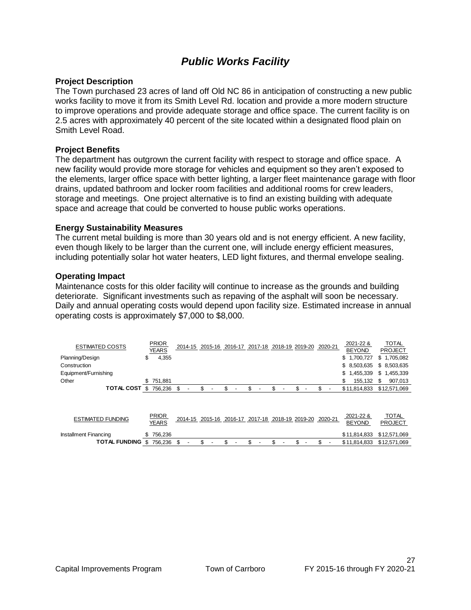### *Public Works Facility*

#### **Project Description**

The Town purchased 23 acres of land off Old NC 86 in anticipation of constructing a new public works facility to move it from its Smith Level Rd. location and provide a more modern structure to improve operations and provide adequate storage and office space. The current facility is on 2.5 acres with approximately 40 percent of the site located within a designated flood plain on Smith Level Road.

#### **Project Benefits**

The department has outgrown the current facility with respect to storage and office space. A new facility would provide more storage for vehicles and equipment so they aren't exposed to the elements, larger office space with better lighting, a larger fleet maintenance garage with floor drains, updated bathroom and locker room facilities and additional rooms for crew leaders, storage and meetings. One project alternative is to find an existing building with adequate space and acreage that could be converted to house public works operations.

#### **Energy Sustainability Measures**

The current metal building is more than 30 years old and is not energy efficient. A new facility, even though likely to be larger than the current one, will include energy efficient measures, including potentially solar hot water heaters, LED light fixtures, and thermal envelope sealing.

#### **Operating Impact**

Maintenance costs for this older facility will continue to increase as the grounds and building deteriorate. Significant investments such as repaving of the asphalt will soon be necessary. Daily and annual operating costs would depend upon facility size. Estimated increase in annual operating costs is approximately \$7,000 to \$8,000.

| <b>ESTIMATED COSTS</b> | <b>PRIOR</b><br>YEARS |     |                          |  |                          |                          |                          | 2014-15 2015-16 2016-17 2017-18 2018-19 2019-20 2020-21 |                          | 2021-22 &<br><b>BEYOND</b> | TOTAL<br><b>PROJECT</b>   |
|------------------------|-----------------------|-----|--------------------------|--|--------------------------|--------------------------|--------------------------|---------------------------------------------------------|--------------------------|----------------------------|---------------------------|
| Planning/Design        | 4.355                 |     |                          |  |                          |                          |                          |                                                         |                          | \$1,700,727                | \$1,705,082               |
| Construction           |                       |     |                          |  |                          |                          |                          |                                                         |                          |                            | $$8,503,635$ $$8,503,635$ |
| Equipment/Furnishing   |                       |     |                          |  |                          |                          |                          |                                                         |                          | 1,455,339                  | \$1,455,339               |
| Other                  | \$751.881             |     |                          |  |                          |                          |                          |                                                         |                          | 155.132                    | 907.013<br>S              |
| <b>TOTAL COST \$</b>   | 756.236               | \$. | $\overline{\phantom{a}}$ |  | $\overline{\phantom{a}}$ | $\overline{\phantom{a}}$ | $\overline{\phantom{a}}$ | $\overline{\phantom{a}}$                                | $\overline{\phantom{a}}$ | \$11,814,833               | \$12,571,069              |

| <b>ESTIMATED FUNDING</b> | <u>PRIOR</u><br><b>YEARS</b> | 2014-15 2015-16 2016-17 2017-18 2018-19 2019-20 2020-21 |                          |     |       |  |                |  |  | 2021-22 &<br><b>BEYOND</b> | TOTAL<br><b>PROJECT</b> |
|--------------------------|------------------------------|---------------------------------------------------------|--------------------------|-----|-------|--|----------------|--|--|----------------------------|-------------------------|
| Installment Financing    | 756.236                      |                                                         |                          |     |       |  |                |  |  | \$11,814,833 \$12,571,069  |                         |
| TOTAL FUNDING \$756.236  |                              | $\overline{\phantom{a}}$                                | $\overline{\phantom{a}}$ | S – | $S -$ |  | $\mathbb{S}$ - |  |  | \$11,814,833 \$12,571,069  |                         |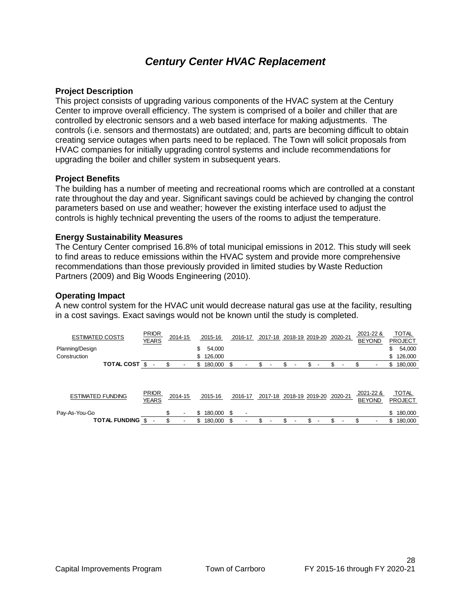### *Century Center HVAC Replacement*

#### **Project Description**

This project consists of upgrading various components of the HVAC system at the Century Center to improve overall efficiency. The system is comprised of a boiler and chiller that are controlled by electronic sensors and a web based interface for making adjustments. The controls (i.e. sensors and thermostats) are outdated; and, parts are becoming difficult to obtain creating service outages when parts need to be replaced. The Town will solicit proposals from HVAC companies for initially upgrading control systems and include recommendations for upgrading the boiler and chiller system in subsequent years.

#### **Project Benefits**

The building has a number of meeting and recreational rooms which are controlled at a constant rate throughout the day and year. Significant savings could be achieved by changing the control parameters based on use and weather; however the existing interface used to adjust the controls is highly technical preventing the users of the rooms to adjust the temperature.

#### **Energy Sustainability Measures**

The Century Center comprised 16.8% of total municipal emissions in 2012. This study will seek to find areas to reduce emissions within the HVAC system and provide more comprehensive recommendations than those previously provided in limited studies by Waste Reduction Partners (2009) and Big Woods Engineering (2010).

#### **Operating Impact**

A new control system for the HVAC unit would decrease natural gas use at the facility, resulting in a cost savings. Exact savings would not be known until the study is completed.

| <b>ESTIMATED COSTS</b>   | <b>PRIOR</b><br><b>YEARS</b> | 2014-15 |                          | 2015-16       |    | 2016-17                  | 2017-18 2018-19 2019-20 |    |    | 2020-21 | 2021-22 &<br><b>BEYOND</b> |     | <b>TOTAL</b><br><b>PROJECT</b> |
|--------------------------|------------------------------|---------|--------------------------|---------------|----|--------------------------|-------------------------|----|----|---------|----------------------------|-----|--------------------------------|
| Planning/Design          |                              |         |                          | \$<br>54,000  |    |                          |                         |    |    |         |                            | \$. | 54,000                         |
| Construction             |                              |         |                          | \$<br>126,000 |    |                          |                         |    |    |         |                            | \$  | 126,000                        |
| TOTAL COST \$            |                              | \$      | $\overline{\phantom{a}}$ | \$<br>180,000 | S. |                          | \$                      | \$ | \$ | \$      | \$                         | \$  | 180,000                        |
|                          |                              |         |                          |               |    |                          |                         |    |    |         |                            |     |                                |
| <b>ESTIMATED FUNDING</b> | <b>PRIOR</b><br><b>YEARS</b> | 2014-15 |                          | 2015-16       |    | 2016-17                  | 2017-18 2018-19 2019-20 |    |    | 2020-21 | 2021-22 &<br><b>BEYOND</b> |     | <b>TOTAL</b><br><b>PROJECT</b> |
| Pay-As-You-Go            |                              | \$      | $\overline{\phantom{a}}$ | \$<br>180,000 | \$ | ۰                        |                         |    |    |         |                            | \$  | 180,000                        |
| <b>TOTAL FUNDING</b>     | -\$                          | \$      | $\overline{\phantom{a}}$ | \$<br>180,000 | \$ | $\overline{\phantom{0}}$ | \$                      | \$ | \$ | \$      | \$<br>-                    | \$. | 180,000                        |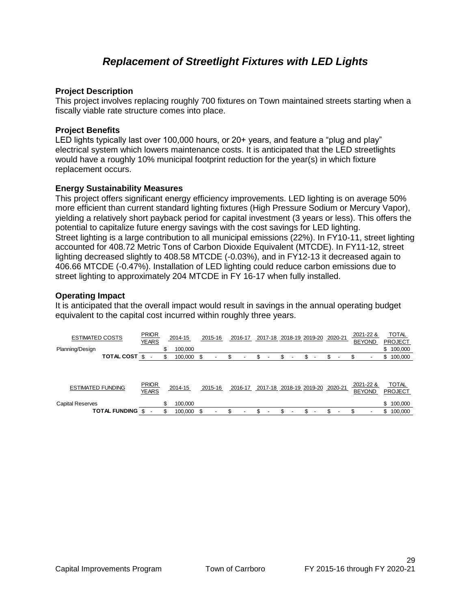### *Replacement of Streetlight Fixtures with LED Lights*

#### **Project Description**

This project involves replacing roughly 700 fixtures on Town maintained streets starting when a fiscally viable rate structure comes into place.

#### **Project Benefits**

LED lights typically last over 100,000 hours, or 20+ years, and feature a "plug and play" electrical system which lowers maintenance costs. It is anticipated that the LED streetlights would have a roughly 10% municipal footprint reduction for the year(s) in which fixture replacement occurs.

#### **Energy Sustainability Measures**

This project offers significant energy efficiency improvements. LED lighting is on average 50% more efficient than current standard lighting fixtures (High Pressure Sodium or Mercury Vapor), yielding a relatively short payback period for capital investment (3 years or less). This offers the potential to capitalize future energy savings with the cost savings for LED lighting. Street lighting is a large contribution to all municipal emissions (22%). In FY10-11, street lighting accounted for 408.72 Metric Tons of Carbon Dioxide Equivalent (MTCDE). In FY11-12, street lighting decreased slightly to 408.58 MTCDE (-0.03%), and in FY12-13 it decreased again to 406.66 MTCDE (-0.47%). Installation of LED lighting could reduce carbon emissions due to street lighting to approximately 204 MTCDE in FY 16-17 when fully installed.

#### **Operating Impact**

It is anticipated that the overall impact would result in savings in the annual operating budget equivalent to the capital cost incurred within roughly three years.

| <b>ESTIMATED COSTS</b>   | <b>PRIOR</b><br><b>YEARS</b> |   | 2014-15 |      | 2015-16                  | 2016-17 |                          |   | 2017-18 2018-19 2019-20 2020-21 |    |   |                          | <b>BEYOND</b> | 2021-22 & |     | <b>TOTAL</b><br><b>PROJECT</b> |
|--------------------------|------------------------------|---|---------|------|--------------------------|---------|--------------------------|---|---------------------------------|----|---|--------------------------|---------------|-----------|-----|--------------------------------|
| Planning/Design          |                              |   | 100.000 |      |                          |         |                          |   |                                 |    |   |                          |               |           | \$. | 100,000                        |
| <b>TOTAL COST \$</b>     |                              |   | 100.000 | - \$ |                          | \$      |                          |   |                                 | \$ |   |                          |               | ۰         | S.  | 100,000                        |
| <b>ESTIMATED FUNDING</b> | <b>PRIOR</b><br><b>YEARS</b> |   | 2014-15 |      | 2015-16                  | 2016-17 |                          |   | 2017-18 2018-19 2019-20 2020-21 |    |   |                          | <b>BEYOND</b> | 2021-22 & |     | <b>TOTAL</b><br><b>PROJECT</b> |
| <b>Capital Reserves</b>  |                              | S | 100.000 |      |                          |         |                          |   |                                 |    |   |                          |               |           | \$. | 100,000                        |
| <b>TOTAL FUNDING \$</b>  |                              |   | 100,000 |      | $\overline{\phantom{a}}$ |         | $\overline{\phantom{a}}$ | S | S                               | \$ | S | $\overline{\phantom{0}}$ |               | ۰         | \$. | 100,000                        |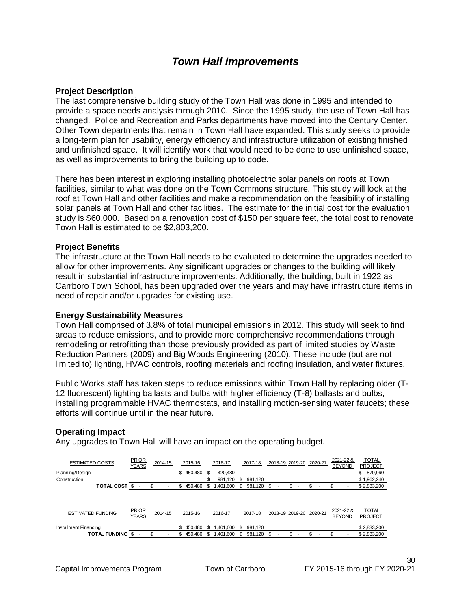### *Town Hall Improvements*

#### **Project Description**

The last comprehensive building study of the Town Hall was done in 1995 and intended to provide a space needs analysis through 2010. Since the 1995 study, the use of Town Hall has changed. Police and Recreation and Parks departments have moved into the Century Center. Other Town departments that remain in Town Hall have expanded. This study seeks to provide a long-term plan for usability, energy efficiency and infrastructure utilization of existing finished and unfinished space. It will identify work that would need to be done to use unfinished space, as well as improvements to bring the building up to code.

There has been interest in exploring installing photoelectric solar panels on roofs at Town facilities, similar to what was done on the Town Commons structure. This study will look at the roof at Town Hall and other facilities and make a recommendation on the feasibility of installing solar panels at Town Hall and other facilities. The estimate for the initial cost for the evaluation study is \$60,000. Based on a renovation cost of \$150 per square feet, the total cost to renovate Town Hall is estimated to be \$2,803,200.

#### **Project Benefits**

The infrastructure at the Town Hall needs to be evaluated to determine the upgrades needed to allow for other improvements. Any significant upgrades or changes to the building will likely result in substantial infrastructure improvements. Additionally, the building, built in 1922 as Carrboro Town School, has been upgraded over the years and may have infrastructure items in need of repair and/or upgrades for existing use.

#### **Energy Sustainability Measures**

Town Hall comprised of 3.8% of total municipal emissions in 2012. This study will seek to find areas to reduce emissions, and to provide more comprehensive recommendations through remodeling or retrofitting than those previously provided as part of limited studies by Waste Reduction Partners (2009) and Big Woods Engineering (2010). These include (but are not limited to) lighting, HVAC controls, roofing materials and roofing insulation, and water fixtures.

Public Works staff has taken steps to reduce emissions within Town Hall by replacing older (T-12 fluorescent) lighting ballasts and bulbs with higher efficiency (T-8) ballasts and bulbs, installing programmable HVAC thermostats, and installing motion-sensing water faucets; these efforts will continue until in the near future.

#### **Operating Impact**

Any upgrades to Town Hall will have an impact on the operating budget.

| <b>ESTIMATED COSTS</b>       |                      | <b>PRIOR</b><br><b>YEARS</b> | 2014-15                        | 2015-16       | 2016-17         | 2017-18          | 2018-19 2019-20 | 2020-21 | 2021-22 &<br><b>BEYOND</b> | <b>TOTAL</b><br><b>PROJECT</b> |
|------------------------------|----------------------|------------------------------|--------------------------------|---------------|-----------------|------------------|-----------------|---------|----------------------------|--------------------------------|
| Planning/Design              |                      |                              |                                | \$450,480     | \$<br>420.480   |                  |                 |         |                            | \$<br>870,960                  |
| Construction                 |                      |                              |                                |               | 981.120         | 981.120<br>\$    |                 |         |                            | \$1,962,240                    |
|                              | TOTAL COST \$        |                              |                                | \$450.480     | \$<br>.401.600  | 981,120 \$<br>\$ |                 |         | S                          | \$2,833,200                    |
| <b>ESTIMATED FUNDING</b>     |                      | <b>PRIOR</b><br><b>YEARS</b> | 2014-15                        | 2015-16       | 2016-17         | 2017-18          | 2018-19 2019-20 | 2020-21 | 2021-22 &<br><b>BEYOND</b> | <b>TOTAL</b><br><b>PROJECT</b> |
| <b>Installment Financing</b> |                      |                              |                                | \$<br>450.480 | \$<br>.401.600  | 981.120<br>\$.   |                 |         |                            | \$2,833,200                    |
|                              | <b>TOTAL FUNDING</b> | $\mathbf{s}$                 | \$<br>$\overline{\phantom{a}}$ | \$450,480     | .401.600<br>\$. | 981,120 \$<br>\$ | \$              | \$      | S                          | \$2,833,200                    |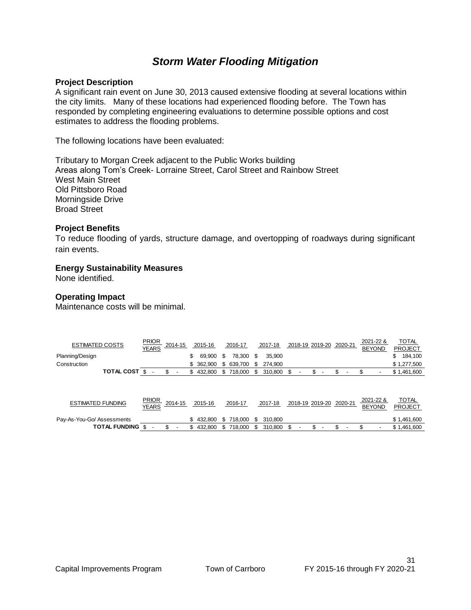### *Storm Water Flooding Mitigation*

#### **Project Description**

A significant rain event on June 30, 2013 caused extensive flooding at several locations within the city limits. Many of these locations had experienced flooding before. The Town has responded by completing engineering evaluations to determine possible options and cost estimates to address the flooding problems.

The following locations have been evaluated:

Tributary to Morgan Creek adjacent to the Public Works building Areas along Tom's Creek- Lorraine Street, Carol Street and Rainbow Street West Main Street Old Pittsboro Road Morningside Drive Broad Street

#### **Project Benefits**

To reduce flooding of yards, structure damage, and overtopping of roadways during significant rain events.

#### **Energy Sustainability Measures**

None identified.

#### **Operating Impact**

Maintenance costs will be minimal.

| <b>ESTIMATED COSTS</b>     | <b>PRIOR</b><br><b>YEARS</b> | 2014-15 | 2015-16        | 2016-17        | 2017-18        | 2018-19 2019-20 | 2020-21 | 2021-22 &<br><b>BEYOND</b> | <b>TOTAL</b><br><b>PROJECT</b> |
|----------------------------|------------------------------|---------|----------------|----------------|----------------|-----------------|---------|----------------------------|--------------------------------|
| Planning/Design            |                              |         | \$<br>69,900   | 78,300<br>S    | 35,900<br>\$   |                 |         |                            | 184,100<br>\$                  |
| Construction               |                              |         | \$<br>362,900  | 639,700<br>\$. | 274.900<br>\$. |                 |         |                            | \$1,277,500                    |
| TOTAL COST \$              |                              |         | 432,800<br>\$. | 718,000<br>\$. | 310,800<br>S   |                 |         |                            | \$1,461,600                    |
|                            |                              |         |                |                |                |                 |         |                            |                                |
| <b>ESTIMATED FUNDING</b>   | PRIOR<br><b>YEARS</b>        | 2014-15 | 2015-16        | 2016-17        | 2017-18        | 2018-19 2019-20 | 2020-21 | 2021-22 &<br><b>BEYOND</b> | <b>TOTAL</b><br><b>PROJECT</b> |
| Pay-As-You-Go/ Assessments |                              |         | 432.800<br>\$. | 718.000<br>\$. | 310.800        |                 |         |                            | \$1,461,600                    |
| <b>TOTAL FUNDING</b>       |                              |         | 432.800<br>\$. | 718.000<br>\$  | 310.800        |                 |         |                            | \$1,461,600                    |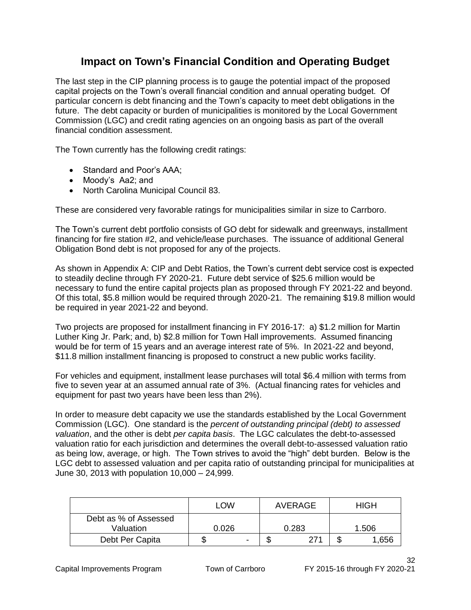## **Impact on Town's Financial Condition and Operating Budget**

The last step in the CIP planning process is to gauge the potential impact of the proposed capital projects on the Town's overall financial condition and annual operating budget. Of particular concern is debt financing and the Town's capacity to meet debt obligations in the future. The debt capacity or burden of municipalities is monitored by the Local Government Commission (LGC) and credit rating agencies on an ongoing basis as part of the overall financial condition assessment.

The Town currently has the following credit ratings:

- Standard and Poor's AAA;
- Moody's Aa2; and
- North Carolina Municipal Council 83.

These are considered very favorable ratings for municipalities similar in size to Carrboro.

The Town's current debt portfolio consists of GO debt for sidewalk and greenways, installment financing for fire station #2, and vehicle/lease purchases. The issuance of additional General Obligation Bond debt is not proposed for any of the projects.

As shown in Appendix A: CIP and Debt Ratios, the Town's current debt service cost is expected to steadily decline through FY 2020-21. Future debt service of \$25.6 million would be necessary to fund the entire capital projects plan as proposed through FY 2021-22 and beyond. Of this total, \$5.8 million would be required through 2020-21. The remaining \$19.8 million would be required in year 2021-22 and beyond.

Two projects are proposed for installment financing in FY 2016-17: a) \$1.2 million for Martin Luther King Jr. Park; and, b) \$2.8 million for Town Hall improvements. Assumed financing would be for term of 15 years and an average interest rate of 5%. In 2021-22 and beyond, \$11.8 million installment financing is proposed to construct a new public works facility.

For vehicles and equipment, installment lease purchases will total \$6.4 million with terms from five to seven year at an assumed annual rate of 3%. (Actual financing rates for vehicles and equipment for past two years have been less than 2%).

In order to measure debt capacity we use the standards established by the Local Government Commission (LGC). One standard is the *percent of outstanding principal (debt) to assessed valuation*, and the other is debt *per capita basis*. The LGC calculates the debt-to-assessed valuation ratio for each jurisdiction and determines the overall debt-to-assessed valuation ratio as being low, average, or high. The Town strives to avoid the "high" debt burden. Below is the LGC debt to assessed valuation and per capita ratio of outstanding principal for municipalities at June 30, 2013 with population 10,000 – 24,999.

|                       |       | _OW | AVERAGE | <b>HIGH</b> |
|-----------------------|-------|-----|---------|-------------|
| Debt as % of Assessed |       |     |         |             |
| Valuation             | 0.026 |     | 0.283   | 1.506       |
| Debt Per Capita       |       |     | 271     | 1,656       |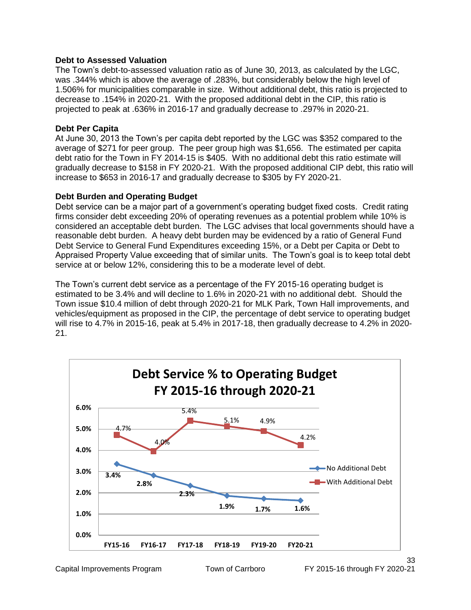#### **Debt to Assessed Valuation**

The Town's debt-to-assessed valuation ratio as of June 30, 2013, as calculated by the LGC, was .344% which is above the average of .283%, but considerably below the high level of 1.506% for municipalities comparable in size. Without additional debt, this ratio is projected to decrease to .154% in 2020-21. With the proposed additional debt in the CIP, this ratio is projected to peak at .636% in 2016-17 and gradually decrease to .297% in 2020-21.

#### **Debt Per Capita**

At June 30, 2013 the Town's per capita debt reported by the LGC was \$352 compared to the average of \$271 for peer group. The peer group high was \$1,656. The estimated per capita debt ratio for the Town in FY 2014-15 is \$405. With no additional debt this ratio estimate will gradually decrease to \$158 in FY 2020-21. With the proposed additional CIP debt, this ratio will increase to \$653 in 2016-17 and gradually decrease to \$305 by FY 2020-21.

#### **Debt Burden and Operating Budget**

Debt service can be a major part of a government's operating budget fixed costs. Credit rating firms consider debt exceeding 20% of operating revenues as a potential problem while 10% is considered an acceptable debt burden. The LGC advises that local governments should have a reasonable debt burden. A heavy debt burden may be evidenced by a ratio of General Fund Debt Service to General Fund Expenditures exceeding 15%, or a Debt per Capita or Debt to Appraised Property Value exceeding that of similar units. The Town's goal is to keep total debt service at or below 12%, considering this to be a moderate level of debt.

The Town's current debt service as a percentage of the FY 2015-16 operating budget is estimated to be 3.4% and will decline to 1.6% in 2020-21 with no additional debt. Should the Town issue \$10.4 million of debt through 2020-21 for MLK Park, Town Hall improvements, and vehicles/equipment as proposed in the CIP, the percentage of debt service to operating budget will rise to 4.7% in 2015-16, peak at 5.4% in 2017-18, then gradually decrease to 4.2% in 2020- 21.

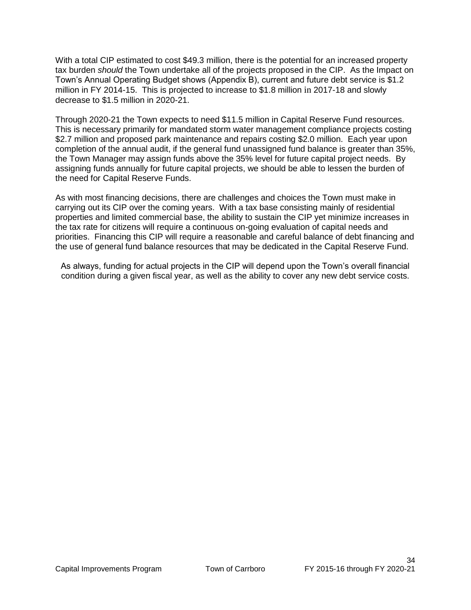With a total CIP estimated to cost \$49.3 million, there is the potential for an increased property tax burden *should* the Town undertake all of the projects proposed in the CIP. As the Impact on Town's Annual Operating Budget shows (Appendix B), current and future debt service is \$1.2 million in FY 2014-15. This is projected to increase to \$1.8 million in 2017-18 and slowly decrease to \$1.5 million in 2020-21.

Through 2020-21 the Town expects to need \$11.5 million in Capital Reserve Fund resources. This is necessary primarily for mandated storm water management compliance projects costing \$2.7 million and proposed park maintenance and repairs costing \$2.0 million. Each year upon completion of the annual audit, if the general fund unassigned fund balance is greater than 35%, the Town Manager may assign funds above the 35% level for future capital project needs. By assigning funds annually for future capital projects, we should be able to lessen the burden of the need for Capital Reserve Funds.

As with most financing decisions, there are challenges and choices the Town must make in carrying out its CIP over the coming years. With a tax base consisting mainly of residential properties and limited commercial base, the ability to sustain the CIP yet minimize increases in the tax rate for citizens will require a continuous on-going evaluation of capital needs and priorities. Financing this CIP will require a reasonable and careful balance of debt financing and the use of general fund balance resources that may be dedicated in the Capital Reserve Fund.

As always, funding for actual projects in the CIP will depend upon the Town's overall financial condition during a given fiscal year, as well as the ability to cover any new debt service costs.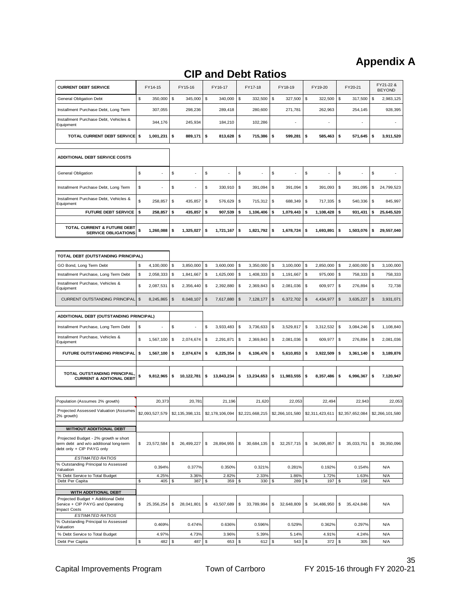# **Appendix A**

| <b>CURRENT DEBT SERVICE</b>                                                                                 | FY14-15          |                | FY15-16         |                | FY16-17         |                | FY17-18         | FY18-19          |               | FY19-20         |                | FY20-21         |                | FY21-22 &<br><b>BEYOND</b> |
|-------------------------------------------------------------------------------------------------------------|------------------|----------------|-----------------|----------------|-----------------|----------------|-----------------|------------------|---------------|-----------------|----------------|-----------------|----------------|----------------------------|
| <b>General Obligation Debt</b>                                                                              | \$<br>350,000    | \$             | 345,000         | $\mathbb{S}$   | 340,000         | \$             | 332,500         | \$<br>327,500    | \$            | 322,500         | \$             | 317,500         | \$             | 2,983,125                  |
| Installment Purchase Debt, Long Term                                                                        | 307,055          |                | 298,236         |                | 289,418         |                | 280,600         | 271,781          |               | 262,963         |                | 254,145         |                | 928,395                    |
| Installment Purchase Debt, Vehicles &<br>Equipment                                                          | 344,176          |                | 245,934         |                | 184,210         |                | 102,286         |                  |               |                 |                |                 |                |                            |
| <b>TOTAL CURRENT DEBT SERVICE \$</b>                                                                        | 1,001,231        | \$             | 889,171         | \$             | 813,628         | \$             | 715,386         | \$<br>599,281    | \$            | 585,463         | \$             | 571,645         | \$             | 3,911,520                  |
| <b>ADDITIONAL DEBT SERVICE COSTS</b>                                                                        |                  |                |                 |                |                 |                |                 |                  |               |                 |                |                 |                |                            |
| General Obligation                                                                                          | \$<br>ä,         | \$             |                 | \$             | ÷.              | \$             |                 | \$               | \$            |                 | \$             |                 | \$             |                            |
| Installment Purchase Debt, Long Term                                                                        | \$               | \$             |                 | \$             | 330,910         | \$             | 391,094         | \$<br>391,094    | \$            | 391,093         | \$             | 391,095         | \$             | 24,799,523                 |
| Installment Purchase Debt, Vehicles &<br>Equipment                                                          | \$<br>258,857    | \$             | 435,857         | \$             | 576,629         | \$             | 715,312         | \$<br>688,349    | \$            | 717,335         | \$             | 540,336         | \$             | 845,997                    |
| <b>FUTURE DEBT SERVICE</b>                                                                                  | \$<br>258,857    | \$             | 435,857         | \$             | 907,539         | \$             | 1,106,406       | \$<br>1,079,443  | \$            | 1,108,428       | \$             | 931,431         | s              | 25,645,520                 |
| TOTAL CURRENT & FUTURE DEBT<br><b>SERVICE OBLIGATIONS</b>                                                   | \$<br>1,260,088  | \$             | 1,325,027       | \$             | 1,721,167       | \$             | 1,821,792       | \$<br>1,678,724  | \$            | 1,693,891       | \$             | 1,503,076       | \$             | 29,557,040                 |
|                                                                                                             |                  |                |                 |                |                 |                |                 |                  |               |                 |                |                 |                |                            |
| TOTAL DEBT (OUTSTANDING PRINCIPAL)                                                                          |                  |                |                 |                |                 |                |                 |                  |               |                 |                |                 |                |                            |
| GO Bond, Long Term Debt                                                                                     | \$<br>4,100,000  | \$             | 3,850,000       | \$             | 3,600,000       | $\mathfrak{s}$ | 3,350,000       | \$<br>3,100,000  | \$            | 2,850,000       | \$             | 2,600,000       | \$             | 3,100,000                  |
| Installment Purchase, Long Term Debt                                                                        | \$<br>2,058,333  | \$             | 1,841,667       | \$             | 1.625.000       | \$             | 1,408,333       | \$<br>1,191,667  | \$            | 975,000         | \$             | 758,333         | \$             | 758.333                    |
| Installment Purchase, Vehicles &<br>Equipment                                                               | \$<br>2,087,531  | \$             | 2,356,440       | $\mathfrak{s}$ | 2.392.880       | \$             | 2,369,843       | \$<br>2,081,036  | \$            | 609,977         | \$             | 276,894         | $\mathfrak{s}$ | 72,738                     |
| <b>CURRENT OUTSTANDING PRINCIPAL</b>                                                                        | \$<br>8,245,865  | $\mathfrak{F}$ | 8,048,107       | $\mathsf{\$}$  | 7,617,880       | $\mathfrak{s}$ | 7,128,177       | \$<br>6,372,702  | $\mathsf{\$}$ | 4,434,977       | $\mathfrak{F}$ | 3,635,227       | $\mathbb{S}$   | 3,931,071                  |
| ADDITIONAL DEBT (OUTSTANDING PRINCIPAL)                                                                     |                  |                |                 |                |                 |                |                 |                  |               |                 |                |                 |                |                            |
| Installment Purchase, Long Term Debt                                                                        | \$               | \$             |                 | \$             | 3,933,483       | \$             | 3,736,633       | \$<br>3,529,817  | \$            | 3,312,532       | \$             | 3,084,246       | \$             | 1,108,840                  |
| Installment Purchase, Vehicles &<br>Equipment                                                               | \$<br>1,567,100  | \$             | 2,074,674       | \$             | 2,291,871       | \$             | 2,369,843       | \$<br>2,081,036  | \$            | 609,977         | \$             | 276,894         | \$             | 2,081,036                  |
| FUTURE OUTSTANDING PRINCIPAL                                                                                | \$<br>1,567,100  | \$             | 2,074,674       | \$             | 6,225,354       | \$             | 6,106,476       | \$<br>5,610,853  | \$            | 3,922,509       | \$             | 3,361,140       | \$             | 3,189,876                  |
| TOTAL OUTSTANDING PRINCIPAL<br><b>CURRENT &amp; ADITIONAL DEBT</b>                                          | \$<br>9,812,965  | \$             | 10,122,781      | \$             | 13,843,234      | \$             | 13,234,653      | \$<br>11,983,555 | \$            | 8,357,486       | \$             | 6,996,367       | \$             | 7,120,947                  |
|                                                                                                             | 20,373           |                | 20,781          |                | 21,196          |                | 21,620          | 22,053           |               | 22,494          |                | 22,943          |                | 22,053                     |
| Population (Assumes 2% growth)<br>Projected Assessed Valuation (Assumes                                     |                  |                |                 |                |                 |                |                 |                  |               |                 |                |                 |                |                            |
| 2% growth)                                                                                                  | \$2,093,527,579  |                | \$2,135,398,131 |                | \$2,178,106,094 |                | \$2,221,668,215 | \$2,266,101,580  |               | \$2,311,423,611 |                | \$2,357,652,084 |                | \$2,266,101,580            |
| WITHOUT ADDITIONAL DEBT                                                                                     |                  |                |                 |                |                 |                |                 |                  |               |                 |                |                 |                |                            |
| Projected Budget - 2% growth w short<br>term debt and w/o additional long-term<br>debt only + CIP PAYG only | \$<br>23,572,584 | \$             | 26,499,227      | \$             | 28,894,955      | \$             | 30,684,135      | \$32,257,715     | \$            | 34,095,857      | \$             | 35,033,751      | \$             | 39,350,096                 |
| <b>ESTIMATED RATIOS</b><br>% Outstanding Principal to Assessed                                              |                  |                |                 |                |                 |                |                 |                  |               |                 |                |                 |                |                            |
| Valuation                                                                                                   | 0.394%           |                | 0.377%          |                | 0.350%          |                | 0.321%          | 0.281%           |               | 0.192%          |                | 0.154%          |                | N/A                        |
| % Debt Service to Total Budget<br>Debt Per Capita                                                           | 4.25%<br>\$      | 405 \$         | 3.36%<br>387    | \$             | 2.82%<br>359 \$ |                | 2.33%<br>330 \$ | 1.86%<br>289     | <b>S</b>      | 1.72%<br>197 \$ |                | 1.63%<br>158    |                | N/A<br>N/A                 |
| WITH ADDITIONAL DEBT                                                                                        |                  |                |                 |                |                 |                |                 |                  |               |                 |                |                 |                |                            |
| Projected Budget + Additional Debt<br>Service + CIP PAYG and Operating<br><b>Impact Costs</b>               | \$<br>25,356,254 | \$             | 28,041,801      | \$             | 43,507,689      | \$             | 33,789,994      | \$ 32,648,809    | \$            | 34,486,950      | $\mathbb{S}$   | 35,424,846      |                | N/A                        |
| <b>ESTIMATED RATIOS</b><br>% Outstanding Principal to Assessed<br>Valuation                                 | 0.469%           |                | 0.474%          |                | 0.636%          |                | 0.596%          | 0.529%           |               | 0.362%          |                | 0.297%          |                | N/A                        |
| % Debt Service to Total Budget                                                                              | 4.97%            |                | 4.73%           |                | 3.96%           |                | 5.39%           | 5.14%            |               | 4.91%           |                | 4.24%           |                | N/A                        |
| Debt Per Capita                                                                                             | \$               | 482 \$         | 487             | \$             | 653 \$          |                | 612 \$          | 543 \$           |               | 372 \$          |                | 305             |                | N/A                        |

### **CIP and Debt Ratios**